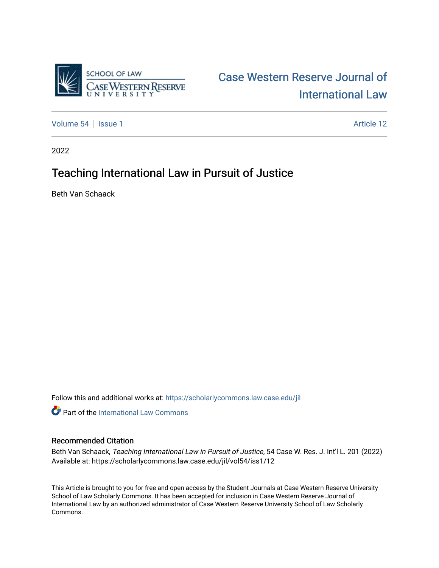

# [Case Western Reserve Journal of](https://scholarlycommons.law.case.edu/jil)  [International Law](https://scholarlycommons.law.case.edu/jil)

[Volume 54](https://scholarlycommons.law.case.edu/jil/vol54) | [Issue 1](https://scholarlycommons.law.case.edu/jil/vol54/iss1) Article 12

2022

### Teaching International Law in Pursuit of Justice

Beth Van Schaack

Follow this and additional works at: [https://scholarlycommons.law.case.edu/jil](https://scholarlycommons.law.case.edu/jil?utm_source=scholarlycommons.law.case.edu%2Fjil%2Fvol54%2Fiss1%2F12&utm_medium=PDF&utm_campaign=PDFCoverPages) 

**Part of the International Law Commons** 

#### Recommended Citation

Beth Van Schaack, Teaching International Law in Pursuit of Justice, 54 Case W. Res. J. Int'l L. 201 (2022) Available at: https://scholarlycommons.law.case.edu/jil/vol54/iss1/12

This Article is brought to you for free and open access by the Student Journals at Case Western Reserve University School of Law Scholarly Commons. It has been accepted for inclusion in Case Western Reserve Journal of International Law by an authorized administrator of Case Western Reserve University School of Law Scholarly Commons.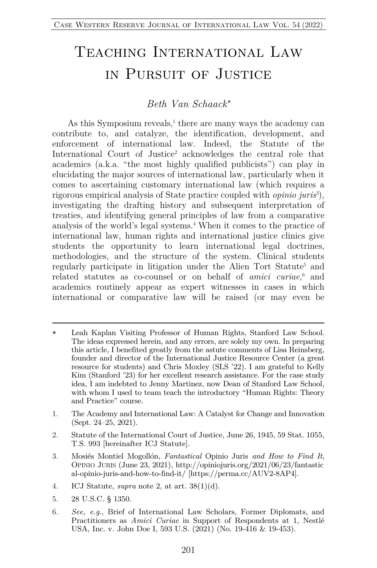# Teaching International Law in Pursuit of Justice

### *Beth Van Schaack*\*

As this Symposium reveals, $\frac{1}{1}$  there are many ways the academy can contribute to, and catalyze, the identification, development, and enforcement of international law. Indeed, the Statute of the International Court of Justice<sup>2</sup> acknowledges the central role that academics (a.k.a. "the most highly qualified publicists") can play in elucidating the major sources of international law, particularly when it comes to ascertaining customary international law (which requires a rigorous empirical analysis of State practice coupled with *opinio juris*<sup>3</sup>), investigating the drafting history and subsequent interpretation of treaties, and identifying general principles of law from a comparative analysis of the world's legal systems.4 When it comes to the practice of international law, human rights and international justice clinics give students the opportunity to learn international legal doctrines, methodologies, and the structure of the system. Clinical students regularly participate in litigation under the Alien Tort Statute<sup>5</sup> and related statutes as co-counsel or on behalf of *amici curiae*, <sup>6</sup> and academics routinely appear as expert witnesses in cases in which international or comparative law will be raised (or may even be

- 1. The Academy and International Law: A Catalyst for Change and Innovation (Sept. 24–25, 2021).
- 2. Statute of the International Court of Justice, June 26, 1945, 59 Stat. 1055, T.S. 993 [hereinafter ICJ Statute].
- 3. Mosiés Montiel Mogollón, *Fantastical* Opinio Juris *and How to Find It*, OPINIO JURIS (June 23, 2021), http://opiniojuris.org/2021/06/23/fantastic al-opinio-juris-and-how-to-find-it/ [https://perma.cc/AUV2-8AP4].
- 4. ICJ Statute, *supra* note 2, at art. 38(1)(d).
- 5. 28 U.S.C. § 1350.
- 6*. See, e.g*., Brief of International Law Scholars, Former Diplomats, and Practitioners as *Amici Curiae* in Support of Respondents at 1, Nestlé USA, Inc. v. John Doe I, 593 U.S. (2021) (No. 19-416 & 19-453).

<sup>\*</sup> Leah Kaplan Visiting Professor of Human Rights, Stanford Law School. The ideas expressed herein, and any errors, are solely my own. In preparing this article, I benefited greatly from the astute comments of Lisa Reinsberg, founder and director of the International Justice Resource Center (a great resource for students) and Chris Moxley (SLS '22). I am grateful to Kelly Kim (Stanford '23) for her excellent research assistance. For the case study idea, I am indebted to Jenny Martinez, now Dean of Stanford Law School, with whom I used to team teach the introductory "Human Rights: Theory and Practice" course.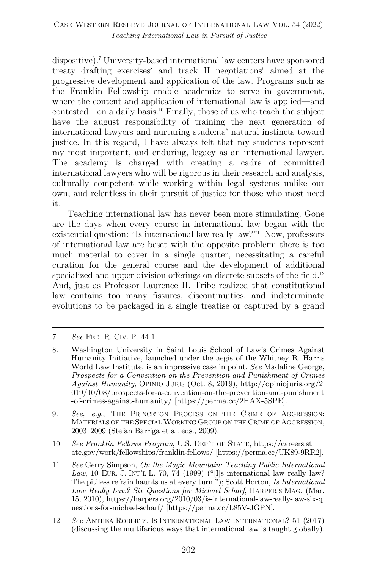dispositive).7 University-based international law centers have sponsored treaty drafting exercises<sup>8</sup> and track II negotiations<sup>9</sup> aimed at the progressive development and application of the law. Programs such as the Franklin Fellowship enable academics to serve in government, where the content and application of international law is applied—and contested—on a daily basis.10 Finally, those of us who teach the subject have the august responsibility of training the next generation of international lawyers and nurturing students' natural instincts toward justice. In this regard, I have always felt that my students represent my most important, and enduring, legacy as an international lawyer. The academy is charged with creating a cadre of committed international lawyers who will be rigorous in their research and analysis, culturally competent while working within legal systems unlike our own, and relentless in their pursuit of justice for those who most need it.

Teaching international law has never been more stimulating. Gone are the days when every course in international law began with the existential question: "Is international law really law?"11 Now, professors of international law are beset with the opposite problem: there is too much material to cover in a single quarter, necessitating a careful curation for the general course and the development of additional specialized and upper division offerings on discrete subsets of the field.<sup>12</sup> And, just as Professor Laurence H. Tribe realized that constitutional law contains too many fissures, discontinuities, and indeterminate evolutions to be packaged in a single treatise or captured by a grand

- 9. *See, e.g.*, THE PRINCETON PROCESS ON THE CRIME OF AGGRESSION: MATERIALS OF THE SPECIAL WORKING GROUP ON THE CRIME OF AGGRESSION, 2003–2009 (Stefan Barriga et al. eds., 2009).
- 10. *See Franklin Fellows Program*, U.S. DEP'T OF STATE, https://careers.st ate.gov/work/fellowships/franklin-fellows/ [https://perma.cc/UK89-9RR2].
- 11. *See* Gerry Simpson, *On the Magic Mountain: Teaching Public International Law*, 10 EUR. J. INT'L L. 70, 74 (1999) ("[I]s international law really law? The pitiless refrain haunts us at every turn."); Scott Horton, *Is International Law Really Law? Six Questions for Michael Scharf*, HARPER'S MAG. (Mar. 15, 2010), https://harpers.org/2010/03/is-international-law-really-law-six-q uestions-for-michael-scharf/ [https://perma.cc/L85V-JGPN].
- 12. *See* ANTHEA ROBERTS, IS INTERNATIONAL LAW INTERNATIONAL? 51 (2017) (discussing the multifarious ways that international law is taught globally).

<sup>7.</sup> *See* FED. R. CIV. P. 44.1.

<sup>8.</sup> Washington University in Saint Louis School of Law's Crimes Against Humanity Initiative, launched under the aegis of the Whitney R. Harris World Law Institute, is an impressive case in point. *See* Madaline George, *Prospects for a Convention on the Prevention and Punishment of Crimes Against Humanity*, OPINIO JURIS (Oct. 8, 2019), http://opiniojuris.org/2 019/10/08/prospects-for-a-convention-on-the-prevention-and-punishment -of-crimes-against-humanity/ [https://perma.cc/2HAX-5SPE].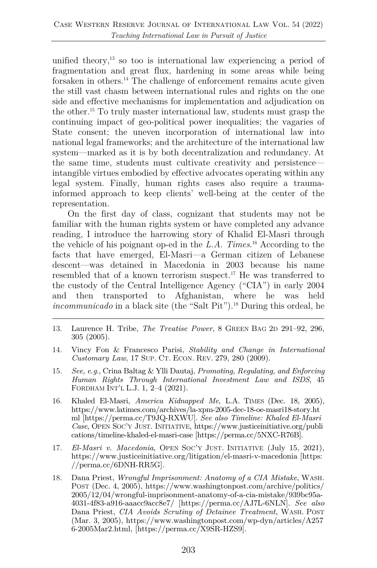unified theory, $^{13}$  so too is international law experiencing a period of fragmentation and great flux, hardening in some areas while being forsaken in others.14 The challenge of enforcement remains acute given the still vast chasm between international rules and rights on the one side and effective mechanisms for implementation and adjudication on the other.15 To truly master international law, students must grasp the continuing impact of geo-political power inequalities; the vagaries of State consent; the uneven incorporation of international law into national legal frameworks; and the architecture of the international law system—marked as it is by both decentralization and redundancy. At the same time, students must cultivate creativity and persistence intangible virtues embodied by effective advocates operating within any legal system. Finally, human rights cases also require a traumainformed approach to keep clients' well-being at the center of the representation.

On the first day of class, cognizant that students may not be familiar with the human rights system or have completed any advance reading, I introduce the harrowing story of Khalid El-Masri through the vehicle of his poignant op-ed in the *L.A. Times*. <sup>16</sup> According to the facts that have emerged, El-Masri—a German citizen of Lebanese descent—was detained in Macedonia in 2003 because his name resembled that of a known terrorism suspect.<sup>17</sup> He was transferred to the custody of the Central Intelligence Agency ("CIA") in early 2004 and then transported to Afghanistan, where he was held *incommunicado* in a black site (the "Salt Pit").<sup>18</sup> During this ordeal, he

- 13. Laurence H. Tribe, *The Treatise Power*, 8 GREEN BAG 2D 291–92, 296, 305 (2005).
- 14. Vincy Fon & Francesco Parisi, *Stability and Change in International Customary Law*, 17 SUP. CT. ECON. REV. 279, 280 (2009).
- 15. *See, e.g*., Crina Baltag & Ylli Dautaj, *Promoting, Regulating, and Enforcing Human Rights Through International Investment Law and ISDS*, 45 FORDHAM INT'L L.J. 1, 2–4 (2021).
- 16. Khaled El-Masri, *America Kidnapped Me*, L.A. TIMES (Dec. 18, 2005), https://www.latimes.com/archives/la-xpm-2005-dec-18-oe-masri18-story.ht ml [https://perma.cc/T9JQ-RXWU]. *See also Timeline: Khaled El-Masri Case*, OPEN SOC'Y JUST. INITIATIVE, https://www.justiceinitiative.org/publi cations/timeline-khaled-el-masri-case [https://perma.cc/5NXC-R76B].
- 17. *El-Masri v. Macedonia*, OPEN SOC'Y JUST. INITIATIVE (July 15, 2021), https://www.justiceinitiative.org/litigation/el-masri-v-macedonia [https: //perma.cc/6DNH-RR5G].
- 18. Dana Priest, *Wrongful Imprisonment: Anatomy of a CIA Mistake*, WASH. POST (Dec. 4, 2005), https://www.washingtonpost.com/archive/politics/ 2005/12/04/wrongful-imprisonment-anatomy-of-a-cia-mistake/939bc95a-4031-4f83-a916-aaacc9acc8e7/ [https://perma.cc/AJ7L-6NLN]. *See also* Dana Priest, *CIA Avoids Scrutiny of Detainee Treatment*, WASH. POST (Mar. 3, 2005), https://www.washingtonpost.com/wp-dyn/articles/A257 6-2005Mar2.html, [https://perma.cc/X9SR-HZS9].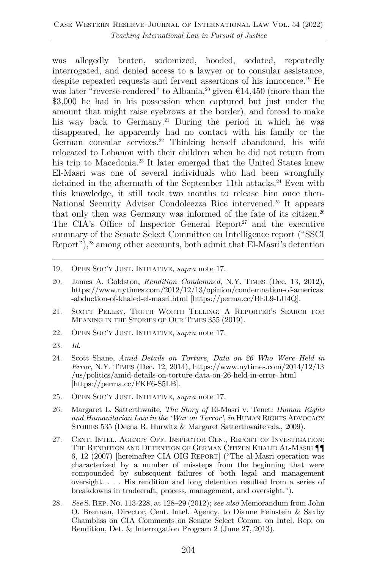was allegedly beaten, sodomized, hooded, sedated, repeatedly interrogated, and denied access to a lawyer or to consular assistance, despite repeated requests and fervent assertions of his innocence.<sup>19</sup> He was later "reverse-rendered" to Albania,<sup>20</sup> given  $\epsilon$ 14,450 (more than the \$3,000 he had in his possession when captured but just under the amount that might raise eyebrows at the border), and forced to make his way back to Germany.<sup>21</sup> During the period in which he was disappeared, he apparently had no contact with his family or the German consular services.<sup>22</sup> Thinking herself abandoned, his wife relocated to Lebanon with their children when he did not return from his trip to Macedonia.<sup>23</sup> It later emerged that the United States knew El-Masri was one of several individuals who had been wrongfully detained in the aftermath of the September 11th attacks.<sup>24</sup> Even with this knowledge, it still took two months to release him once then-National Security Adviser Condoleezza Rice intervened.25 It appears that only then was Germany was informed of the fate of its citizen.<sup>26</sup> The CIA's Office of Inspector General Report<sup>27</sup> and the executive summary of the Senate Select Committee on Intelligence report ("SSCI Report"), <sup>28</sup> among other accounts, both admit that El-Masri's detention

19. OPEN SOC'Y JUST. INITIATIVE, *supra* note 17.

- 21. SCOTT PELLEY, TRUTH WORTH TELLING: A REPORTER'S SEARCH FOR MEANING IN THE STORIES OF OUR TIMES 355 (2019).
- 22. OPEN SOC'Y JUST. INITIATIVE, *supra* note 17.
- 23. *Id.*
- 24. Scott Shane, *Amid Details on Torture, Data on 26 Who Were Held in Error*, N.Y. TIMES (Dec. 12, 2014), https://www.nytimes.com/2014/12/13 /us/politics/amid-details-on-torture-data-on-26-held-in-error-.html [https://perma.cc/FKF6-S5LB].
- 25. OPEN SOC'Y JUST. INITIATIVE, *supra* note 17.
- 26. Margaret L. Satterthwaite, *The Story of* El-Masri v. Tenet*: Human Rights and Humanitarian Law in the 'War on Terror'*, *in* HUMAN RIGHTS ADVOCACY STORIES 535 (Deena R. Hurwitz & Margaret Satterthwaite eds., 2009).
- 27. CENT. INTEL. AGENCY OFF. INSPECTOR GEN., REPORT OF INVESTIGATION: THE RENDITION AND DETENTION OF GERMAN CITIZEN KHALID AL-MASRI ¶¶ 6, 12 (2007) [hereinafter CIA OIG REPORT] ("The al-Masri operation was characterized by a number of missteps from the beginning that were compounded by subsequent failures of both legal and management oversight. . . . His rendition and long detention resulted from a series of breakdowns in tradecraft, process, management, and oversight.").
- 28. *See* S. REP. NO. 113-228, at 128–29 (2012); *see also* Memorandum from John O. Brennan, Director, Cent. Intel. Agency, to Dianne Feinstein & Saxby Chambliss on CIA Comments on Senate Select Comm. on Intel. Rep. on Rendition, Det. & Interrogation Program 2 (June 27, 2013).

<sup>20.</sup> James A. Goldston, *Rendition Condemned*, N.Y. TIMES (Dec. 13, 2012), https://www.nytimes.com/2012/12/13/opinion/condemnation-of-americas -abduction-of-khaled-el-masri.html [https://perma.cc/BEL9-LU4Q].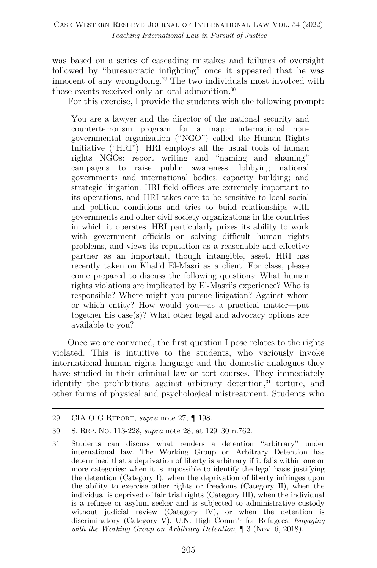was based on a series of cascading mistakes and failures of oversight followed by "bureaucratic infighting" once it appeared that he was innocent of any wrongdoing.<sup>29</sup> The two individuals most involved with these events received only an oral admonition.<sup>30</sup>

For this exercise, I provide the students with the following prompt:

You are a lawyer and the director of the national security and counterterrorism program for a major international nongovernmental organization ("NGO") called the Human Rights Initiative ("HRI"). HRI employs all the usual tools of human rights NGOs: report writing and "naming and shaming" campaigns to raise public awareness; lobbying national governments and international bodies; capacity building; and strategic litigation. HRI field offices are extremely important to its operations, and HRI takes care to be sensitive to local social and political conditions and tries to build relationships with governments and other civil society organizations in the countries in which it operates. HRI particularly prizes its ability to work with government officials on solving difficult human rights problems, and views its reputation as a reasonable and effective partner as an important, though intangible, asset. HRI has recently taken on Khalid El-Masri as a client. For class, please come prepared to discuss the following questions: What human rights violations are implicated by El-Masri's experience? Who is responsible? Where might you pursue litigation? Against whom or which entity? How would you—as a practical matter—put together his case(s)? What other legal and advocacy options are available to you?

Once we are convened, the first question I pose relates to the rights violated. This is intuitive to the students, who variously invoke international human rights language and the domestic analogues they have studied in their criminal law or tort courses. They immediately identify the prohibitions against arbitrary detention,<sup>31</sup> torture, and other forms of physical and psychological mistreatment. Students who

<sup>29.</sup> CIA OIG REPORT, *supra* note 27, ¶ 198.

<sup>30.</sup> S. REP. NO. 113-228, *supra* note 28, at 129–30 n.762.

<sup>31.</sup> Students can discuss what renders a detention "arbitrary" under international law. The Working Group on Arbitrary Detention has determined that a deprivation of liberty is arbitrary if it falls within one or more categories: when it is impossible to identify the legal basis justifying the detention (Category I), when the deprivation of liberty infringes upon the ability to exercise other rights or freedoms (Category II), when the individual is deprived of fair trial rights (Category III), when the individual is a refugee or asylum seeker and is subjected to administrative custody without judicial review (Category IV), or when the detention is discriminatory (Category V). U.N. High Comm'r for Refugees, *Engaging with the Working Group on Arbitrary Detention*, ¶ 3 (Nov. 6, 2018).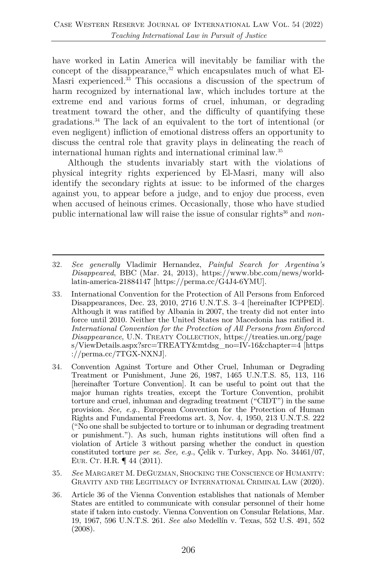have worked in Latin America will inevitably be familiar with the concept of the disappearance, $32$  which encapsulates much of what El-Masri experienced.33 This occasions a discussion of the spectrum of harm recognized by international law, which includes torture at the extreme end and various forms of cruel, inhuman, or degrading treatment toward the other, and the difficulty of quantifying these gradations.34 The lack of an equivalent to the tort of intentional (or even negligent) infliction of emotional distress offers an opportunity to discuss the central role that gravity plays in delineating the reach of international human rights and international criminal law.35

Although the students invariably start with the violations of physical integrity rights experienced by El-Masri, many will also identify the secondary rights at issue: to be informed of the charges against you, to appear before a judge, and to enjoy due process, even when accused of heinous crimes. Occasionally, those who have studied public international law will raise the issue of consular rights<sup>36</sup> and *non*-

- 33. International Convention for the Protection of All Persons from Enforced Disappearances, Dec. 23, 2010, 2716 U.N.T.S. 3–4 [hereinafter ICPPED]. Although it was ratified by Albania in 2007, the treaty did not enter into force until 2010. Neither the United States nor Macedonia has ratified it. *International Convention for the Protection of All Persons from Enforced Disappearance*, U.N. TREATY COLLECTION, https://treaties.un.org/page s/ViewDetails.aspx?src=TREATY&mtdsg\_no=IV-16&chapter=4 [https ://perma.cc/7TGX-NXNJ].
- 34. Convention Against Torture and Other Cruel, Inhuman or Degrading Treatment or Punishment, June 26, 1987, 1465 U.N.T.S. 85, 113, 116 [hereinafter Torture Convention]. It can be useful to point out that the major human rights treaties, except the Torture Convention, prohibit torture and cruel, inhuman and degrading treatment ("CIDT") in the same provision. *See, e.g.*, European Convention for the Protection of Human Rights and Fundamental Freedoms art. 3, Nov. 4, 1950, 213 U.N.T.S. 222 ("No one shall be subjected to torture or to inhuman or degrading treatment or punishment."). As such, human rights institutions will often find a violation of Article 3 without parsing whether the conduct in question constituted torture *per se*. *See, e.g.*, Çelik v. Turkey, App. No. 34461/07, EUR. CT. H.R. ¶ 44 (2011).
- 35. *See* MARGARET M. DEGUZMAN, SHOCKING THE CONSCIENCE OF HUMANITY: GRAVITY AND THE LEGITIMACY OF INTERNATIONAL CRIMINAL LAW (2020).
- 36. Article 36 of the Vienna Convention establishes that nationals of Member States are entitled to communicate with consular personnel of their home state if taken into custody. Vienna Convention on Consular Relations, Mar. 19, 1967, 596 U.N.T.S. 261. *See also* Medellín v. Texas, 552 U.S. 491, 552 (2008).

<sup>32.</sup> *See generally* Vladimir Hernandez, *Painful Search for Argentina's Disappeared*, BBC (Mar. 24, 2013), https://www.bbc.com/news/worldlatin-america-21884147 [https://perma.cc/G4J4-6YMU].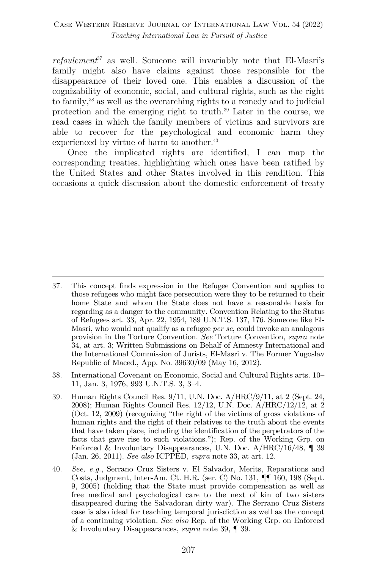$refoulement<sup>37</sup>$  as well. Someone will invariably note that El-Masri's family might also have claims against those responsible for the disappearance of their loved one. This enables a discussion of the cognizability of economic, social, and cultural rights, such as the right to family,<sup>38</sup> as well as the overarching rights to a remedy and to judicial protection and the emerging right to truth.39 Later in the course, we read cases in which the family members of victims and survivors are able to recover for the psychological and economic harm they experienced by virtue of harm to another.<sup>40</sup>

Once the implicated rights are identified, I can map the corresponding treaties, highlighting which ones have been ratified by the United States and other States involved in this rendition. This occasions a quick discussion about the domestic enforcement of treaty

- 38. International Covenant on Economic, Social and Cultural Rights arts. 10– 11, Jan. 3, 1976, 993 U.N.T.S. 3, 3–4.
- 39. Human Rights Council Res. 9/11, U.N. Doc. A/HRC/9/11, at 2 (Sept. 24, 2008); Human Rights Council Res. 12/12, U.N. Doc. A/HRC/12/12, at 2 (Oct. 12, 2009) (recognizing "the right of the victims of gross violations of human rights and the right of their relatives to the truth about the events that have taken place, including the identification of the perpetrators of the facts that gave rise to such violations."); Rep. of the Working Grp. on Enforced & Involuntary Disappearances, U.N. Doc.  $A/HRC/16/48$ ,  $\P$  39 (Jan. 26, 2011). *See also* ICPPED, *supra* note 33, at art. 12.
- 40. *See, e.g.*, Serrano Cruz Sisters v. El Salvador, Merits, Reparations and Costs, Judgment, Inter-Am. Ct. H.R. (ser. C) No. 131, ¶¶ 160, 198 (Sept. 9, 2005) (holding that the State must provide compensation as well as free medical and psychological care to the next of kin of two sisters disappeared during the Salvadoran dirty war). The Serrano Cruz Sisters case is also ideal for teaching temporal jurisdiction as well as the concept of a continuing violation. *See also* Rep. of the Working Grp. on Enforced & Involuntary Disappearances, *supra* note 39, ¶ 39.

<sup>37.</sup> This concept finds expression in the Refugee Convention and applies to those refugees who might face persecution were they to be returned to their home State and whom the State does not have a reasonable basis for regarding as a danger to the community. Convention Relating to the Status of Refugees art. 33, Apr. 22, 1954, 189 U.N.T.S. 137, 176. Someone like El-Masri, who would not qualify as a refugee *per se*, could invoke an analogous provision in the Torture Convention. *See* Torture Convention, *supra* note 34, at art. 3; Written Submissions on Behalf of Amnesty International and the International Commission of Jurists, El-Masri v. The Former Yugoslav Republic of Maced., App. No. 39630/09 (May 16, 2012).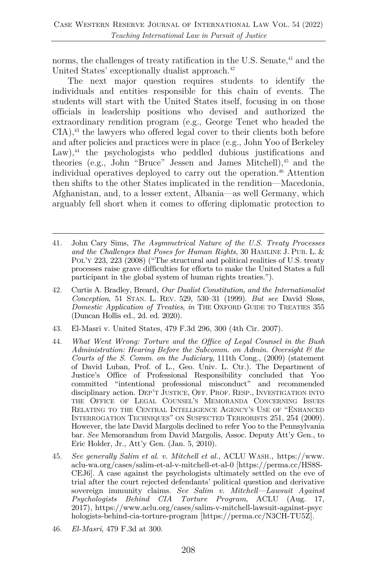norms, the challenges of treaty ratification in the U.S. Senate,<sup>41</sup> and the United States' exceptionally dualist approach.<sup>42</sup>

The next major question requires students to identify the individuals and entities responsible for this chain of events. The students will start with the United States itself, focusing in on those officials in leadership positions who devised and authorized the extraordinary rendition program (e.g., George Tenet who headed the CIA),43 the lawyers who offered legal cover to their clients both before and after policies and practices were in place (e.g., John Yoo of Berkeley Law),<sup>44</sup> the psychologists who peddled dubious justifications and theories (e.g., John "Bruce" Jessen and James Mitchell),<sup>45</sup> and the individual operatives deployed to carry out the operation.<sup>46</sup> Attention then shifts to the other States implicated in the rendition—Macedonia, Afghanistan, and, to a lesser extent, Albania—as well Germany, which arguably fell short when it comes to offering diplomatic protection to

- 41. John Cary Sims, *The Asymmetrical Nature of the U.S. Treaty Processes and the Challenges that Poses for Human Rights*, 30 HAMLINE J. PUB. L. & POL'Y 223, 223 (2008) ("The structural and political realities of U.S. treaty processes raise grave difficulties for efforts to make the United States a full participant in the global system of human rights treaties.").
- 42. Curtis A. Bradley, Breard*, Our Dualist Constitution, and the Internationalist Conception*, 51 STAN. L. REV. 529, 530–31 (1999). *But see* David Sloss, *Domestic Application of Treaties*, *in* THE OXFORD GUIDE TO TREATIES 355 (Duncan Hollis ed., 2d. ed. 2020).
- 43. El-Masri v. United States, 479 F.3d 296, 300 (4th Cir. 2007).
- 44. *What Went Wrong: Torture and the Office of Legal Counsel in the Bush Administration: Hearing Before the Subcomm. on Admin. Oversight & the Courts of the S. Comm. on the Judiciary*, 111th Cong., (2009) (statement of David Luban, Prof. of L., Geo. Univ. L. Ctr.). The Department of Justice's Office of Professional Responsibility concluded that Yoo committed "intentional professional misconduct" and recommended disciplinary action. DEP'T JUSTICE, OFF. PROF. RESP., INVESTIGATION INTO THE OFFICE OF LEGAL COUNSEL'S MEMORANDA CONCERNING ISSUES RELATING TO THE CENTRAL INTELLIGENCE AGENCY'S USE OF "ENHANCED INTERROGATION TECHNIQUES" ON SUSPECTED TERRORISTS 251, 254 (2009). However, the late David Margolis declined to refer Yoo to the Pennsylvania bar. *See* Memorandum from David Margolis, Assoc. Deputy Att'y Gen., to Eric Holder, Jr., Att'y Gen. (Jan. 5, 2010).
- 45. *See generally Salim et al. v. Mitchell et al.*, ACLU WASH., https://www. aclu-wa.org/cases/salim-et-al-v-mitchell-et-al-0 [https://perma.cc/HS8S-CEJ6]. A case against the psychologists ultimately settled on the eve of trial after the court rejected defendants' political question and derivative sovereign immunity claims. *See Salim v. Mitchell—Lawsuit Against Psychologists Behind CIA Torture Program*, ACLU (Aug. 17, 2017), https://www.aclu.org/cases/salim-v-mitchell-lawsuit-against-psyc hologists-behind-cia-torture-program [https://perma.cc/N3CH-TU5Z].
- 46. *El-Masri*, 479 F.3d at 300.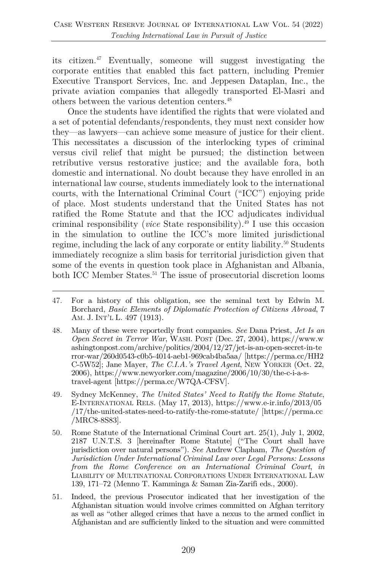its citizen.47 Eventually, someone will suggest investigating the corporate entities that enabled this fact pattern, including Premier Executive Transport Services, Inc. and Jeppesen Dataplan, Inc., the private aviation companies that allegedly transported El-Masri and others between the various detention centers.48

Once the students have identified the rights that were violated and a set of potential defendants/respondents, they must next consider how they—as lawyers—can achieve some measure of justice for their client. This necessitates a discussion of the interlocking types of criminal versus civil relief that might be pursued; the distinction between retributive versus restorative justice; and the available fora, both domestic and international. No doubt because they have enrolled in an international law course, students immediately look to the international courts, with the International Criminal Court ("ICC") enjoying pride of place. Most students understand that the United States has not ratified the Rome Statute and that the ICC adjudicates individual criminal responsibility (*vice* State responsibility).49 I use this occasion in the simulation to outline the ICC's more limited jurisdictional regime, including the lack of any corporate or entity liability.<sup>50</sup> Students immediately recognize a slim basis for territorial jurisdiction given that some of the events in question took place in Afghanistan and Albania, both ICC Member States.<sup>51</sup> The issue of prosecutorial discretion looms

- 49. Sydney McKenney, *The United States' Need to Ratify the Rome Statute*, E-INTERNATIONAL RELS. (May 17, 2013), https://www.e-ir.info/2013/05 /17/the-united-states-need-to-ratify-the-rome-statute/ [https://perma.cc /MRC8-8S83].
- 50. Rome Statute of the International Criminal Court art. 25(1), July 1, 2002, 2187 U.N.T.S. 3 [hereinafter Rome Statute] ("The Court shall have jurisdiction over natural persons"). *See* Andrew Clapham, *The Question of Jurisdiction Under International Criminal Law over Legal Persons: Lessons from the Rome Conference on an International Criminal Court*, *in* LIABILITY OF MULTINATIONAL CORPORATIONS UNDER INTERNATIONAL LAW 139, 171–72 (Menno T. Kamminga & Saman Zia-Zarifi eds., 2000).
- 51. Indeed, the previous Prosecutor indicated that her investigation of the Afghanistan situation would involve crimes committed on Afghan territory as well as "other alleged crimes that have a nexus to the armed conflict in Afghanistan and are sufficiently linked to the situation and were committed

<sup>47.</sup> For a history of this obligation, see the seminal text by Edwin M. Borchard, *Basic Elements of Diplomatic Protection of Citizens Abroad*, 7 AM. J. INT'L L. 497 (1913).

<sup>48.</sup> Many of these were reportedly front companies. *See* Dana Priest, *Jet Is an Open Secret in Terror War*, WASH. POST (Dec. 27, 2004), https://www.w ashingtonpost.com/archive/politics/2004/12/27/jet-is-an-open-secret-in-te rror-war/260d0543-c0b5-4014-aeb1-969cab4ba5aa/ [https://perma.cc/HH2 C-5W52]; Jane Mayer, *The C.I.A.'s Travel Agent*, NEW YORKER (Oct. 22, 2006), https://www.newyorker.com/magazine/2006/10/30/the-c-i-a-stravel-agent [https://perma.cc/W7QA-CFSV].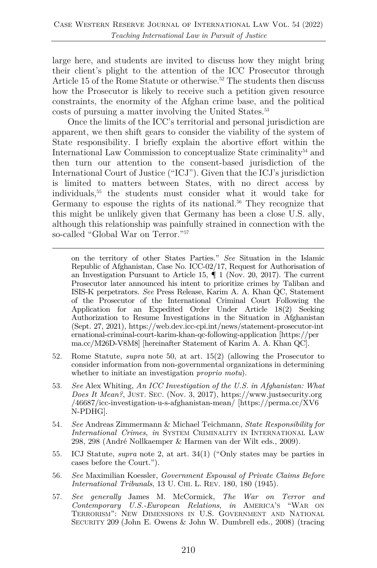large here, and students are invited to discuss how they might bring their client's plight to the attention of the ICC Prosecutor through Article 15 of the Rome Statute or otherwise.<sup>52</sup> The students then discuss how the Prosecutor is likely to receive such a petition given resource constraints, the enormity of the Afghan crime base, and the political costs of pursuing a matter involving the United States.<sup>53</sup>

Once the limits of the ICC's territorial and personal jurisdiction are apparent, we then shift gears to consider the viability of the system of State responsibility. I briefly explain the abortive effort within the International Law Commission to conceptualize State criminality<sup>54</sup> and then turn our attention to the consent-based jurisdiction of the International Court of Justice ("ICJ"). Given that the ICJ's jurisdiction is limited to matters between States, with no direct access by individuals,55 the students must consider what it would take for Germany to espouse the rights of its national.<sup>56</sup> They recognize that this might be unlikely given that Germany has been a close U.S. ally, although this relationship was painfully strained in connection with the so-called "Global War on Terror."57

on the territory of other States Parties." *See* Situation in the Islamic Republic of Afghanistan, Case No. ICC-02/17, Request for Authorisation of an Investigation Pursuant to Article 15,  $\P$  1 (Nov. 20, 2017). The current Prosecutor later announced his intent to prioritize crimes by Taliban and ISIS-K perpetrators. *See* Press Release, Karim A. A. Khan QC, Statement of the Prosecutor of the International Criminal Court Following the Application for an Expedited Order Under Article 18(2) Seeking Authorization to Resume Investigations in the Situation in Afghanistan (Sept. 27, 2021), https://web.dev.icc-cpi.int/news/statement-prosecutor-int ernational-criminal-court-karim-khan-qc-following-application [https://per ma.cc/M26D-V8M8] [hereinafter Statement of Karim A. A. Khan QC].

- 52. Rome Statute, *supra* note 50, at art. 15(2) (allowing the Prosecutor to consider information from non-governmental organizations in determining whether to initiate an investigation *proprio motu*).
- 53. *See* Alex Whiting, *An ICC Investigation of the U.S. in Afghanistan: What Does It Mean?*, JUST. SEC. (Nov. 3, 2017), https://www.justsecurity.org /46687/icc-investigation-u-s-afghanistan-mean/ [https://perma.cc/XV6 N-PDHG].
- 54. *See* Andreas Zimmermann & Michael Teichmann, *State Responsibility for International Crimes*, *in* SYSTEM CRIMINALITY IN INTERNATIONAL LAW 298, 298 (André Nollkaemper & Harmen van der Wilt eds., 2009).
- 55. ICJ Statute, *supra* note 2, at art. 34(1) ("Only states may be parties in cases before the Court.").
- 56. *See* Maximilian Koessler, *Government Espousal of Private Claims Before International Tribunals*, 13 U. CHI. L. REV. 180, 180 (1945).
- 57. *See generally* James M. McCormick, *The War on Terror and Contemporary U.S.-European Relations*, *in* AMERICA'S "WAR ON TERRORISM": NEW DIMENSIONS IN U.S. GOVERNMENT AND NATIONAL SECURITY 209 (John E. Owens & John W. Dumbrell eds., 2008) (tracing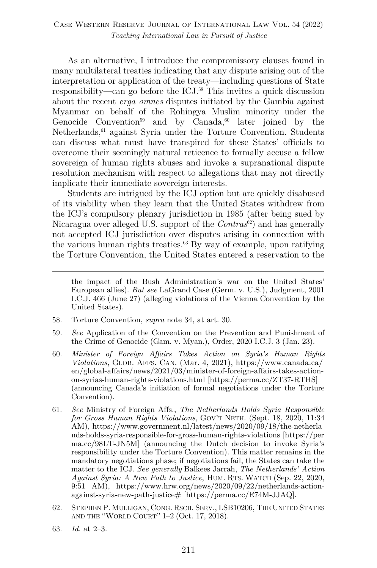As an alternative, I introduce the compromissory clauses found in many multilateral treaties indicating that any dispute arising out of the interpretation or application of the treaty—including questions of State responsibility—can go before the ICJ.58 This invites a quick discussion about the recent *erga omnes* disputes initiated by the Gambia against Myanmar on behalf of the Rohingya Muslim minority under the Genocide Convention<sup>59</sup> and by Canada, <sup>60</sup> later joined by the Netherlands, <sup>61</sup> against Syria under the Torture Convention. Students can discuss what must have transpired for these States' officials to overcome their seemingly natural reticence to formally accuse a fellow sovereign of human rights abuses and invoke a supranational dispute resolution mechanism with respect to allegations that may not directly implicate their immediate sovereign interests.

Students are intrigued by the ICJ option but are quickly disabused of its viability when they learn that the United States withdrew from the ICJ's compulsory plenary jurisdiction in 1985 (after being sued by Nicaragua over alleged U.S. support of the *Contras*<sup>62</sup>) and has generally not accepted ICJ jurisdiction over disputes arising in connection with the various human rights treaties. $63$  By way of example, upon ratifying the Torture Convention, the United States entered a reservation to the

- 58. Torture Convention, *supra* note 34, at art. 30.
- 59. *See* Application of the Convention on the Prevention and Punishment of the Crime of Genocide (Gam. v. Myan.), Order, 2020 I.C.J. 3 (Jan. 23).
- 60. *Minister of Foreign Affairs Takes Action on Syria's Human Rights Violations*, GLOB. AFFS. CAN. (Mar. 4, 2021), https://www.canada.ca/ en/global-affairs/news/2021/03/minister-of-foreign-affairs-takes-actionon-syrias-human-rights-violations.html [https://perma.cc/ZT37-RTHS] (announcing Canada's initiation of formal negotiations under the Torture Convention).
- 61. *See* Ministry of Foreign Affs., *The Netherlands Holds Syria Responsible for Gross Human Rights Violations*, GOV'T NETH. (Sept. 18, 2020, 11:34 AM), https://www.government.nl/latest/news/2020/09/18/the-netherla nds-holds-syria-responsible-for-gross-human-rights-violations [https://per ma.cc/98LT-JN5M] (announcing the Dutch decision to invoke Syria's responsibility under the Torture Convention). This matter remains in the mandatory negotiations phase; if negotiations fail, the States can take the matter to the ICJ. *See generally* Balkees Jarrah, *The Netherlands' Action Against Syria: A New Path to Justice*, HUM. RTS. WATCH (Sep. 22, 2020, 9:51 AM), https://www.hrw.org/news/2020/09/22/netherlands-actionagainst-syria-new-path-justice# [https://perma.cc/E74M-JJAQ].
- 62. STEPHEN P. MULLIGAN, CONG. RSCH. SERV., LSB10206, THE UNITED STATES AND THE "WORLD COURT" 1–2 (Oct. 17, 2018).
- 63. *Id.* at 2–3.

the impact of the Bush Administration's war on the United States' European allies). *But see* LaGrand Case (Germ. v. U.S.), Judgment, 2001 I.C.J. 466 (June 27) (alleging violations of the Vienna Convention by the United States).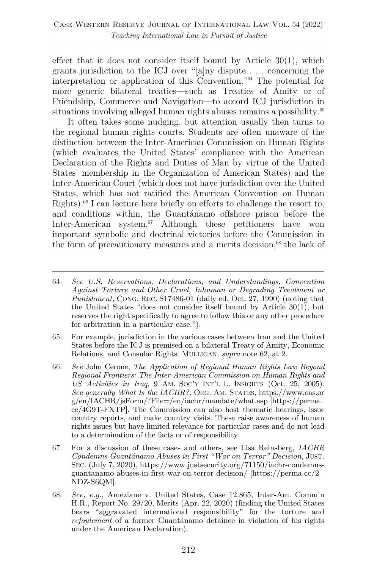effect that it does not consider itself bound by Article 30(1), which grants jurisdiction to the ICJ over "[a]ny dispute . . . concerning the interpretation or application of this Convention."64 The potential for more generic bilateral treaties—such as Treaties of Amity or of Friendship, Commerce and Navigation—to accord ICJ jurisdiction in situations involving alleged human rights abuses remains a possibility.<sup>65</sup>

It often takes some nudging, but attention usually then turns to the regional human rights courts. Students are often unaware of the distinction between the Inter-American Commission on Human Rights (which evaluates the United States' compliance with the American Declaration of the Rights and Duties of Man by virtue of the United States' membership in the Organization of American States) and the Inter-American Court (which does not have jurisdiction over the United States, which has not ratified the American Convention on Human Rights). <sup>66</sup> I can lecture here briefly on efforts to challenge the resort to, and conditions within, the Guantánamo offshore prison before the Inter-American system.<sup>67</sup> Although these petitioners have won important symbolic and doctrinal victories before the Commission in the form of precautionary measures and a merits decision, $68$  the lack of

- 65. For example, jurisdiction in the various cases between Iran and the United States before the ICJ is premised on a bilateral Treaty of Amity, Economic Relations, and Consular Rights. MULLIGAN, *supra* note 62, at 2.
- 66. *See* John Cerone, *The Application of Regional Human Rights Law Beyond Regional Frontiers: The Inter-American Commission on Human Rights and US Activities in Iraq*, 9 AM. SOC'Y INT'L L. INSIGHTS (Oct. 25, 2005). *See generally What Is the IACHR?,* ORG. AM. STATES, https://www.oas.or g/en/IACHR/jsForm/?File=/en/iachr/mandate/what.asp [https://perma. cc/4G9T-FXTP]. The Commission can also host thematic hearings, issue country reports, and make country visits. These raise awareness of human rights issues but have limited relevance for particular cases and do not lead to a determination of the facts or of responsibility.
- 67. For a discussion of these cases and others, see Lisa Reinsberg, *IACHR Condemns Guantánamo Abuses in First "War on Terror" Decision*, JUST. SEC. (July 7, 2020), https://www.justsecurity.org/71150/iachr-condemnsguantanamo-abuses-in-first-war-on-terror-decision/ [https://perma.cc/2 NDZ-S6QM].
- 68. *See, e.g.*, Ameziane v. United States, Case 12.865, Inter-Am. Comm'n H.R., Report No. 29/20, Merits (Apr. 22, 2020) (finding the United States bears "aggravated international responsibility" for the torture and *refoulement* of a former Guantánamo detainee in violation of his rights under the American Declaration).

<sup>64.</sup> *See U.S. Reservations, Declarations, and Understandings, Convention Against Torture and Other Cruel, Inhuman or Degrading Treatment or Punishment*, CONG. REC. S17486-01 (daily ed. Oct. 27, 1990) (noting that the United States "does not consider itself bound by Article 30(1), but reserves the right specifically to agree to follow this or any other procedure for arbitration in a particular case.").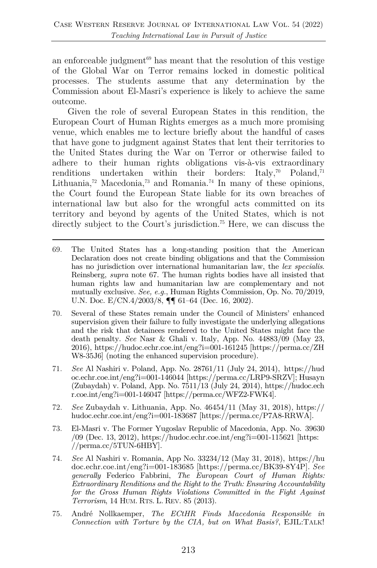an enforceable judgment $69$  has meant that the resolution of this vestige of the Global War on Terror remains locked in domestic political processes. The students assume that any determination by the Commission about El-Masri's experience is likely to achieve the same outcome.

Given the role of several European States in this rendition, the European Court of Human Rights emerges as a much more promising venue, which enables me to lecture briefly about the handful of cases that have gone to judgment against States that lent their territories to the United States during the War on Terror or otherwise failed to adhere to their human rights obligations vis-à-vis extraordinary renditions undertaken within their borders: Italy,<sup>70</sup> Poland,<sup>71</sup> Lithuania,<sup>72</sup> Macedonia,<sup>73</sup> and Romania.<sup>74</sup> In many of these opinions, the Court found the European State liable for its own breaches of international law but also for the wrongful acts committed on its territory and beyond by agents of the United States, which is not directly subject to the Court's jurisdiction.<sup>75</sup> Here, we can discuss the

- 69. The United States has a long-standing position that the American Declaration does not create binding obligations and that the Commission has no jurisdiction over international humanitarian law, the *lex specialis*. Reinsberg, *supra* note 67. The human rights bodies have all insisted that human rights law and humanitarian law are complementary and not mutually exclusive. *See, e.g.*, Human Rights Commission, Op. No. 70/2019, U.N. Doc. E/CN.4/2003/8, **[**¶ 61–64 (Dec. 16, 2002).
- 70. Several of these States remain under the Council of Ministers' enhanced supervision given their failure to fully investigate the underlying allegations and the risk that detainees rendered to the United States might face the death penalty. *See* Nasr & Ghali v. Italy, App. No. 44883/09 (May 23, 2016), https://hudoc.echr.coe.int/eng?i=001-161245 [https://perma.cc/ZH W8-35J6] (noting the enhanced supervision procedure).
- 71. *See* Al Nashiri v. Poland, App. No. 28761/11 (July 24, 2014), https://hud oc.echr.coe.int/eng?i=001-146044 [https://perma.cc/LRP9-SRZV]; Husayn (Zubaydah) v. Poland, App. No. 7511/13 (July 24, 2014), https://hudoc.ech r.coe.int/eng?i=001-146047 [https://perma.cc/WFZ2-FWK4].
- 72. *See* Zubaydah v. Lithuania, App. No. 46454/11 (May 31, 2018), https:// hudoc.echr.coe.int/eng?i=001-183687 [https://perma.cc/P7A8-RRWA].
- 73. El-Masri v. The Former Yugoslav Republic of Macedonia, App. No. 39630 /09 (Dec. 13, 2012), https://hudoc.echr.coe.int/eng?i=001-115621 [https: //perma.cc/5TUN-6HBY].
- 74. *See* Al Nashiri v. Romania, App No. 33234/12 (May 31, 2018), https://hu doc.echr.coe.int/eng?i=001-183685 [https://perma.cc/BK39-8Y4P]. *See generally* Federico Fabbrini, *The European Court of Human Rights: Extraordinary Renditions and the Right to the Truth: Ensuring Accountability for the Gross Human Rights Violations Committed in the Fight Against Terrorism*, 14 HUM. RTS. L. REV. 85 (2013).
- 75. André Nollkaemper, *The ECtHR Finds Macedonia Responsible in Connection with Torture by the CIA, but on What Basis?*, EJIL:TALK!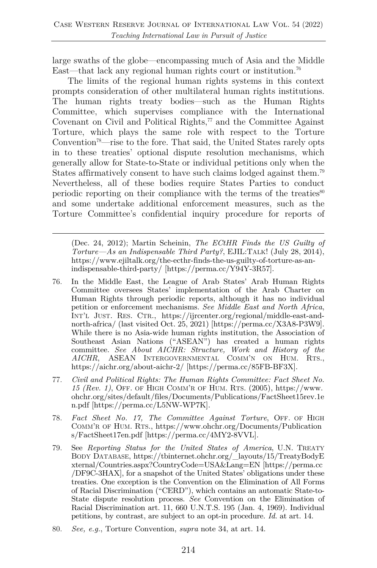large swaths of the globe—encompassing much of Asia and the Middle East—that lack any regional human rights court or institution.<sup>76</sup>

The limits of the regional human rights systems in this context prompts consideration of other multilateral human rights institutions. The human rights treaty bodies—such as the Human Rights Committee, which supervises compliance with the International Covenant on Civil and Political Rights, $\pi$  and the Committee Against Torture, which plays the same role with respect to the Torture Convention78—rise to the fore. That said, the United States rarely opts in to these treaties' optional dispute resolution mechanisms, which generally allow for State-to-State or individual petitions only when the States affirmatively consent to have such claims lodged against them.79 Nevertheless, all of these bodies require States Parties to conduct periodic reporting on their compliance with the terms of the treaties $80$ and some undertake additional enforcement measures, such as the Torture Committee's confidential inquiry procedure for reports of

(Dec. 24, 2012); Martin Scheinin, *The ECtHR Finds the US Guilty of Torture—As an Indispensable Third Party?*, EJIL:TALK! (July 28, 2014), https://www.ejiltalk.org/the-ecthr-finds-the-us-guilty-of-torture-as-anindispensable-third-party/ [https://perma.cc/Y94Y-3R57].

- 76. In the Middle East, the League of Arab States' Arab Human Rights Committee oversees States' implementation of the Arab Charter on Human Rights through periodic reports, although it has no individual petition or enforcement mechanisms. *See Middle East and North Africa*, INT'L JUST. RES. CTR., https://ijrcenter.org/regional/middle-east-andnorth-africa/ (last visited Oct. 25, 2021) [https://perma.cc/X3A8-P3W9]. While there is no Asia-wide human rights institution, the Association of Southeast Asian Nations ("ASEAN") has created a human rights committee. *See About AICHR: Structure, Work and History of the AICHR*, ASEAN INTERGOVERNMENTAL COMM'N ON HUM. RTS., https://aichr.org/about-aichr-2/ [https://perma.cc/85FB-BF3X].
- 77. *Civil and Political Rights: The Human Rights Committee: Fact Sheet No. 15 (Rev. 1)*, OFF. OF HIGH COMM'R OF HUM. RTS. (2005), https://www. ohchr.org/sites/default/files/Documents/Publications/FactSheet15rev.1e n.pdf [https://perma.cc/L5NW-WP7K].
- 78. *Fact Sheet No. 17, The Committee Against Torture*, OFF. OF HIGH COMM'R OF HUM. RTS., https://www.ohchr.org/Documents/Publication s/FactSheet17en.pdf [https://perma.cc/4MY2-8VVL].
- 79. See *Reporting Status for the United States of America*, U.N. TREATY BODY DATABASE, https://tbinternet.ohchr.org/\_layouts/15/TreatyBodyE xternal/Countries.aspx?CountryCode=USA&Lang=EN [https://perma.cc /DF9C-3HAX], for a snapshot of the United States' obligations under these treaties. One exception is the Convention on the Elimination of All Forms of Racial Discrimination ("CERD"), which contains an automatic State-to-State dispute resolution process. *See* Convention on the Elimination of Racial Discrimination art. 11, 660 U.N.T.S. 195 (Jan. 4, 1969). Individual petitions, by contrast, are subject to an opt-in procedure. *Id.* at art. 14.
- 80. *See, e.g.*, Torture Convention, *supra* note 34, at art. 14.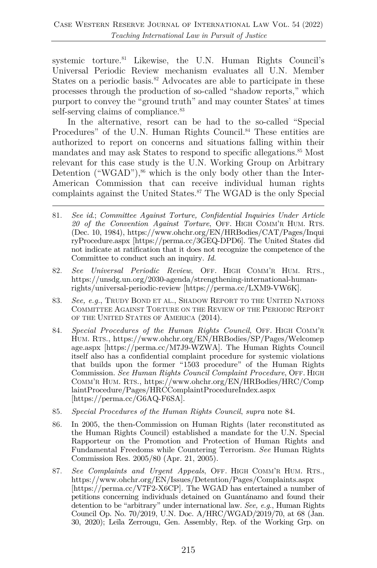systemic torture.<sup>81</sup> Likewise, the U.N. Human Rights Council's Universal Periodic Review mechanism evaluates all U.N. Member States on a periodic basis.<sup>82</sup> Advocates are able to participate in these processes through the production of so-called "shadow reports," which purport to convey the "ground truth" and may counter States' at times self-serving claims of compliance.<sup>83</sup>

In the alternative, resort can be had to the so-called "Special Procedures" of the U.N. Human Rights Council.<sup>84</sup> These entities are authorized to report on concerns and situations falling within their mandates and may ask States to respond to specific allegations.<sup>85</sup> Most relevant for this case study is the U.N. Working Group on Arbitrary Detention  $({}^\alpha WGAD)$ <sup>86</sup>, which is the only body other than the Inter-American Commission that can receive individual human rights complaints against the United States.<sup>87</sup> The WGAD is the only Special

- 81. *See id*.; *Committee Against Torture, Confidential Inquiries Under Article 20 of the Convention Against Torture*, OFF. HIGH COMM'R HUM. RTS. (Dec. 10, 1984), https://www.ohchr.org/EN/HRBodies/CAT/Pages/Inqui ryProcedure.aspx [https://perma.cc/3GEQ-DPD6]. The United States did not indicate at ratification that it does not recognize the competence of the Committee to conduct such an inquiry. *Id.*
- 82. *See Universal Periodic Review*, OFF. HIGH COMM'R HUM. RTS., https://unsdg.un.org/2030-agenda/strengthening-international-humanrights/universal-periodic-review [https://perma.cc/LXM9-VW6K].
- 83. *See, e.g.*, TRUDY BOND ET AL., SHADOW REPORT TO THE UNITED NATIONS COMMITTEE AGAINST TORTURE ON THE REVIEW OF THE PERIODIC REPORT OF THE UNITED STATES OF AMERICA (2014).
- 84. *Special Procedures of the Human Rights Council*, OFF. HIGH COMM'R HUM. RTS., https://www.ohchr.org/EN/HRBodies/SP/Pages/Welcomep age.aspx [https://perma.cc/M7J9-WZWA]. The Human Rights Council itself also has a confidential complaint procedure for systemic violations that builds upon the former "1503 procedure" of the Human Rights Commission. *See Human Rights Council Complaint Procedure*, OFF. HIGH COMM'R HUM. RTS., https://www.ohchr.org/EN/HRBodies/HRC/Comp laintProcedure/Pages/HRCComplaintProcedureIndex.aspx [https://perma.cc/G6AQ-F6SA].
- 85. *Special Procedures of the Human Rights Council*, *supra* note 84.
- 86. In 2005, the then-Commission on Human Rights (later reconstituted as the Human Rights Council) established a mandate for the U.N. Special Rapporteur on the Promotion and Protection of Human Rights and Fundamental Freedoms while Countering Terrorism. *See* Human Rights Commission Res. 2005/80 (Apr. 21, 2005).
- 87. *See Complaints and Urgent Appeals*, OFF. HIGH COMM'R HUM. RTS., https://www.ohchr.org/EN/Issues/Detention/Pages/Complaints.aspx [https://perma.cc/V7F2-X6CP]. The WGAD has entertained a number of petitions concerning individuals detained on Guantánamo and found their detention to be "arbitrary" under international law. *See, e.g.*, Human Rights Council Op. No. 70/2019, U.N. Doc. A/HRC/WGAD/2019/70, at 68 (Jan. 30, 2020); Leïla Zerrougu, Gen. Assembly, Rep. of the Working Grp. on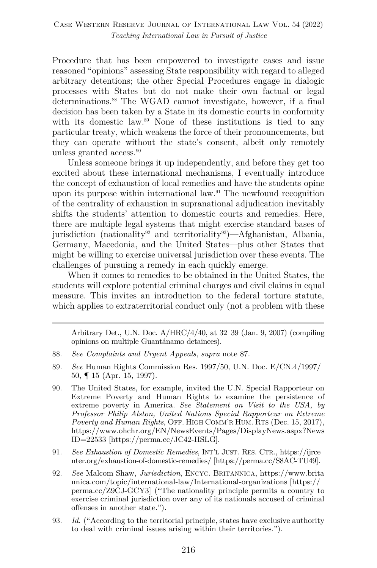Procedure that has been empowered to investigate cases and issue reasoned "opinions" assessing State responsibility with regard to alleged arbitrary detentions; the other Special Procedures engage in dialogic processes with States but do not make their own factual or legal determinations.88 The WGAD cannot investigate, however, if a final decision has been taken by a State in its domestic courts in conformity with its domestic law.<sup>89</sup> None of these institutions is tied to any particular treaty, which weakens the force of their pronouncements, but they can operate without the state's consent, albeit only remotely unless granted access.90

Unless someone brings it up independently, and before they get too excited about these international mechanisms, I eventually introduce the concept of exhaustion of local remedies and have the students opine upon its purpose within international law.<sup>91</sup> The newfound recognition of the centrality of exhaustion in supranational adjudication inevitably shifts the students' attention to domestic courts and remedies. Here, there are multiple legal systems that might exercise standard bases of jurisdiction (nationality<sup>92</sup> and territoriality<sup>93</sup>)—Afghanistan, Albania, Germany, Macedonia, and the United States—plus other States that might be willing to exercise universal jurisdiction over these events. The challenges of pursuing a remedy in each quickly emerge.

When it comes to remedies to be obtained in the United States, the students will explore potential criminal charges and civil claims in equal measure. This invites an introduction to the federal torture statute, which applies to extraterritorial conduct only (not a problem with these

Arbitrary Det., U.N. Doc. A/HRC/4/40, at 32–39 (Jan. 9, 2007) (compiling opinions on multiple Guantánamo detainees).

- 88. *See Complaints and Urgent Appeals*, *supra* note 87.
- 89. *See* Human Rights Commission Res. 1997/50, U.N. Doc. E/CN.4/1997/ 50, ¶ 15 (Apr. 15, 1997).
- 90. The United States, for example, invited the U.N. Special Rapporteur on Extreme Poverty and Human Rights to examine the persistence of extreme poverty in America. *See Statement on Visit to the USA, by Professor Philip Alston, United Nations Special Rapporteur on Extreme Poverty and Human Rights*, OFF. HIGH COMM'R HUM. RTS (Dec. 15, 2017), https://www.ohchr.org/EN/NewsEvents/Pages/DisplayNews.aspx?News ID=22533 [https://perma.cc/JC42-HSLG].
- 91. *See Exhaustion of Domestic Remedies*, INT'L JUST. RES. CTR., https://ijrce nter.org/exhaustion-of-domestic-remedies/ [https://perma.cc/S8AC-TU49].
- 92. *See* Malcom Shaw, *Jurisdiction*, ENCYC. BRITANNICA, https://www.brita nnica.com/topic/international-law/International-organizations [https:// perma.cc/Z9CJ-GCY3] ("The nationality principle permits a country to exercise criminal jurisdiction over any of its nationals accused of criminal offenses in another state.").
- 93. *Id.* ("According to the territorial principle, states have exclusive authority to deal with criminal issues arising within their territories.").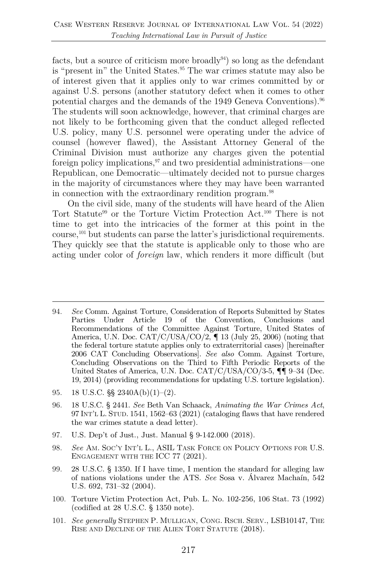facts, but a source of criticism more broadly<sup>94</sup>) so long as the defendant is "present in" the United States.<sup>95</sup> The war crimes statute may also be of interest given that it applies only to war crimes committed by or against U.S. persons (another statutory defect when it comes to other potential charges and the demands of the 1949 Geneva Conventions).<sup>96</sup> The students will soon acknowledge, however, that criminal charges are not likely to be forthcoming given that the conduct alleged reflected U.S. policy, many U.S. personnel were operating under the advice of counsel (however flawed), the Assistant Attorney General of the Criminal Division must authorize any charges given the potential foreign policy implications, $97$  and two presidential administrations—one Republican, one Democratic—ultimately decided not to pursue charges in the majority of circumstances where they may have been warranted in connection with the extraordinary rendition program.<sup>98</sup>

On the civil side, many of the students will have heard of the Alien Tort Statute99 or the Torture Victim Protection Act.100 There is not time to get into the intricacies of the former at this point in the course, <sup>101</sup> but students can parse the latter's jurisdictional requirements. They quickly see that the statute is applicable only to those who are acting under color of *foreign* law, which renders it more difficult (but

- 95. 18 U.S.C.  $\S$  2340A(b)(1)–(2).
- 96. 18 U.S.C. § 2441. *See* Beth Van Schaack, *Animating the War Crimes Act*, 97 INT'L L. STUD. 1541, 1562–63 (2021) (cataloging flaws that have rendered the war crimes statute a dead letter).
- 97. U.S. Dep't of Just., Just. Manual § 9-142.000 (2018).
- 98. *See* AM. SOC'Y INT'L L., ASIL TASK FORCE ON POLICY OPTIONS FOR U.S. ENGAGEMENT WITH THE ICC 77 (2021).
- 99. 28 U.S.C. § 1350. If I have time, I mention the standard for alleging law of nations violations under the ATS. *See* Sosa v. Álvarez Machaín, 542 U.S. 692, 731–32 (2004).
- 100. Torture Victim Protection Act, Pub. L. No. 102-256, 106 Stat. 73 (1992) (codified at 28 U.S.C. § 1350 note).
- 101. *See generally* STEPHEN P. MULLIGAN, CONG. RSCH. SERV., LSB10147, THE RISE AND DECLINE OF THE ALIEN TORT STATUTE (2018).

<sup>94.</sup> *See* Comm. Against Torture, Consideration of Reports Submitted by States Parties Under Article 19 of the Convention, Conclusions and Recommendations of the Committee Against Torture, United States of America, U.N. Doc. CAT/C/USA/CO/2, ¶ 13 (July 25, 2006) (noting that the federal torture statute applies only to extraterritorial cases) [hereinafter 2006 CAT Concluding Observations]. *See also* Comm. Against Torture, Concluding Observations on the Third to Fifth Periodic Reports of the United States of America, U.N. Doc. CAT/C/USA/CO/3-5,  $\P$  $\P$  9–34 (Dec. 19, 2014) (providing recommendations for updating U.S. torture legislation).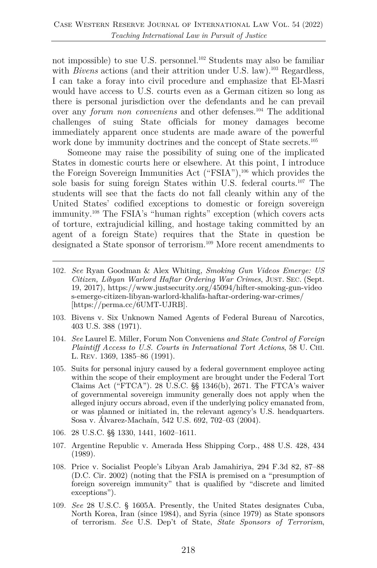not impossible) to sue U.S. personnel.<sup>102</sup> Students may also be familiar with *Bivens* actions (and their attrition under U.S. law).<sup>103</sup> Regardless, I can take a foray into civil procedure and emphasize that El-Masri would have access to U.S. courts even as a German citizen so long as there is personal jurisdiction over the defendants and he can prevail over any *forum non conveniens* and other defenses.104 The additional challenges of suing State officials for money damages become immediately apparent once students are made aware of the powerful work done by immunity doctrines and the concept of State secrets.<sup>105</sup>

Someone may raise the possibility of suing one of the implicated States in domestic courts here or elsewhere. At this point, I introduce the Foreign Sovereign Immunities Act ("FSIA"),<sup>106</sup> which provides the sole basis for suing foreign States within U.S. federal courts.<sup>107</sup> The students will see that the facts do not fall cleanly within any of the United States' codified exceptions to domestic or foreign sovereign immunity.108 The FSIA's "human rights" exception (which covers acts of torture, extrajudicial killing, and hostage taking committed by an agent of a foreign State) requires that the State in question be designated a State sponsor of terrorism.109 More recent amendments to

- 102. *See* Ryan Goodman & Alex Whiting, *Smoking Gun Videos Emerge: US Citizen, Libyan Warlord Haftar Ordering War Crimes*, JUST. SEC. (Sept. 19, 2017), https://www.justsecurity.org/45094/hifter-smoking-gun-video s-emerge-citizen-libyan-warlord-khalifa-haftar-ordering-war-crimes/ [https://perma.cc/6UMT-UJRB].
- 103. Bivens v. Six Unknown Named Agents of Federal Bureau of Narcotics, 403 U.S. 388 (1971).
- 104. *See* Laurel E. Miller, Forum Non Conveniens *and State Control of Foreign Plaintiff Access to U.S. Courts in International Tort Actions*, 58 U. CHI. L. REV. 1369, 1385–86 (1991).
- 105. Suits for personal injury caused by a federal government employee acting within the scope of their employment are brought under the Federal Tort Claims Act ("FTCA"). 28  $\hat{U}$ .S.C. §§ 1346(b), 2671. The FTCA's waiver of governmental sovereign immunity generally does not apply when the alleged injury occurs abroad, even if the underlying policy emanated from, or was planned or initiated in, the relevant agency's U.S. headquarters. Sosa v. Álvarez-Machaín, 542 U.S. 692, 702–03 (2004).
- 106. 28 U.S.C. §§ 1330, 1441, 1602–1611.
- 107. Argentine Republic v. Amerada Hess Shipping Corp., 488 U.S. 428, 434 (1989).
- 108. Price v. Socialist People's Libyan Arab Jamahiriya, 294 F.3d 82, 87–88 (D.C. Cir. 2002) (noting that the FSIA is premised on a "presumption of foreign sovereign immunity" that is qualified by "discrete and limited exceptions").
- 109. *See* 28 U.S.C. § 1605A. Presently, the United States designates Cuba, North Korea, Iran (since 1984), and Syria (since 1979) as State sponsors of terrorism. *See* U.S. Dep't of State, *State Sponsors of Terrorism*,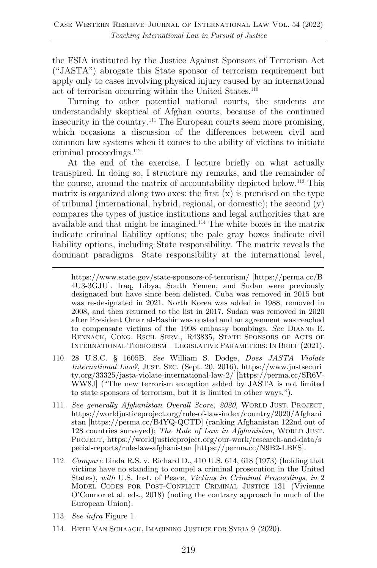the FSIA instituted by the Justice Against Sponsors of Terrorism Act ("JASTA") abrogate this State sponsor of terrorism requirement but apply only to cases involving physical injury caused by an international act of terrorism occurring within the United States.<sup>110</sup>

Turning to other potential national courts, the students are understandably skeptical of Afghan courts, because of the continued insecurity in the country.111 The European courts seem more promising, which occasions a discussion of the differences between civil and common law systems when it comes to the ability of victims to initiate criminal proceedings.<sup>112</sup>

At the end of the exercise, I lecture briefly on what actually transpired. In doing so, I structure my remarks, and the remainder of the course, around the matrix of accountability depicted below.113 This matrix is organized along two axes: the first  $(x)$  is premised on the type of tribunal (international, hybrid, regional, or domestic); the second (y) compares the types of justice institutions and legal authorities that are available and that might be imagined.114 The white boxes in the matrix indicate criminal liability options; the pale gray boxes indicate civil liability options, including State responsibility. The matrix reveals the dominant paradigms—State responsibility at the international level,

- 110. 28 U.S.C. § 1605B. *See* William S. Dodge, *Does JASTA Violate International Law?*, JUST. SEC. (Sept. 20, 2016), https://www.justsecuri ty.org/33325/jasta-violate-international-law-2/ [https://perma.cc/SR6V-WW8J] ("The new terrorism exception added by JASTA is not limited to state sponsors of terrorism, but it is limited in other ways.").
- 111. *See generally Afghanistan Overall Score, 2020*, WORLD JUST. PROJECT, https://worldjusticeproject.org/rule-of-law-index/country/2020/Afghani stan [https://perma.cc/B4YQ-QCTD] (ranking Afghanistan 122nd out of 128 countries surveyed); *The Rule of Law in Afghanistan*, WORLD JUST. PROJECT, https://worldjusticeproject.org/our-work/research-and-data/s pecial-reports/rule-law-afghanistan [https://perma.cc/N9B2-LBFS].
- 112. *Compare* Linda R.S. v. Richard D., 410 U.S. 614, 618 (1973) (holding that victims have no standing to compel a criminal prosecution in the United States), *with* U.S. Inst. of Peace, *Victims in Criminal Proceedings*, *in* 2 MODEL CODES FOR POST-CONFLICT CRIMINAL JUSTICE 131 (Vivienne O'Connor et al. eds., 2018) (noting the contrary approach in much of the European Union).
- 113. *See infra* Figure 1.
- 114. BETH VAN SCHAACK, IMAGINING JUSTICE FOR SYRIA 9 (2020).

https://www.state.gov/state-sponsors-of-terrorism/ [https://perma.cc/B 4U3-3GJU]. Iraq, Libya, South Yemen, and Sudan were previously designated but have since been delisted. Cuba was removed in 2015 but was re-designated in 2021. North Korea was added in 1988, removed in 2008, and then returned to the list in 2017. Sudan was removed in 2020 after President Omar al-Bashir was ousted and an agreement was reached to compensate victims of the 1998 embassy bombings. *See* DIANNE E. RENNACK, CONG. RSCH. SERV., R43835, STATE SPONSORS OF ACTS OF INTERNATIONAL TERRORISM—LEGISLATIVE PARAMETERS: IN BRIEF (2021).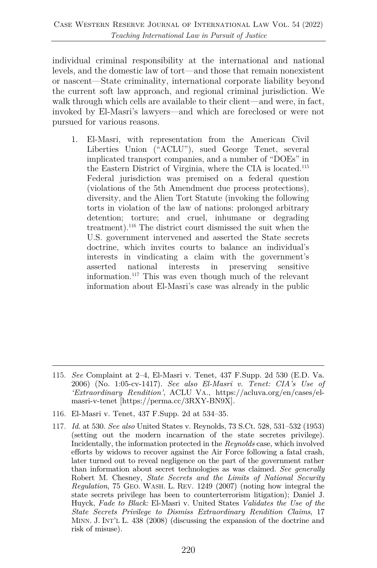individual criminal responsibility at the international and national levels, and the domestic law of tort—and those that remain nonexistent or nascent—State criminality, international corporate liability beyond the current soft law approach, and regional criminal jurisdiction. We walk through which cells are available to their client—and were, in fact, invoked by El-Masri's lawyers—and which are foreclosed or were not pursued for various reasons.

1. El-Masri, with representation from the American Civil Liberties Union ("ACLU"), sued George Tenet, several implicated transport companies, and a number of "DOEs" in the Eastern District of Virginia, where the CIA is located.115 Federal jurisdiction was premised on a federal question (violations of the 5th Amendment due process protections), diversity, and the Alien Tort Statute (invoking the following torts in violation of the law of nations: prolonged arbitrary detention; torture; and cruel, inhumane or degrading treatment).116 The district court dismissed the suit when the U.S. government intervened and asserted the State secrets doctrine, which invites courts to balance an individual's interests in vindicating a claim with the government's asserted national interests in preserving sensitive information.117 This was even though much of the relevant information about El-Masri's case was already in the public

- 116. El-Masri v. Tenet, 437 F.Supp. 2d at 534–35.
- 117. *Id.* at 530. *See also* United States v. Reynolds, 73 S.Ct. 528, 531–532 (1953) (setting out the modern incarnation of the state secretes privilege). Incidentally, the information protected in the *Reynolds* case, which involved efforts by widows to recover against the Air Force following a fatal crash, later turned out to reveal negligence on the part of the government rather than information about secret technologies as was claimed. *See generally* Robert M. Chesney, *State Secrets and the Limits of National Security Regulation*, 75 GEO. WASH. L. REV. 1249 (2007) (noting how integral the state secrets privilege has been to counterterrorism litigation); Daniel J. Huyck, *Fade to Black:* El-Masri v. United States *Validates the Use of the State Secrets Privilege to Dismiss Extraordinary Rendition Claims*, 17 MINN. J. INT'L L. 438 (2008) (discussing the expansion of the doctrine and risk of misuse).

<sup>115.</sup> *See* Complaint at 2–4, El-Masri v. Tenet, 437 F.Supp. 2d 530 (E.D. Va. 2006) (No. 1:05-cv-1417). *See also El-Masri v. Tenet: CIA's Use of 'Extraordinary Rendition'*, ACLU VA., https://acluva.org/en/cases/elmasri-v-tenet [https://perma.cc/3RXY-BN9X].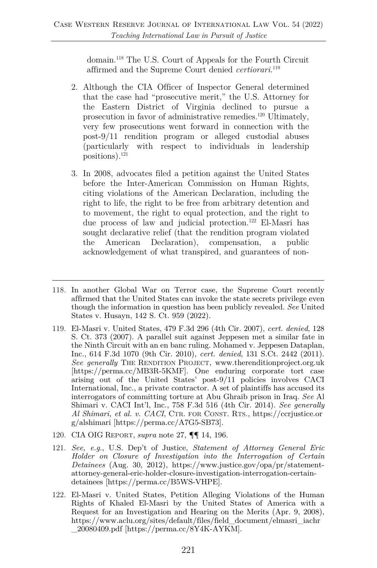domain.118 The U.S. Court of Appeals for the Fourth Circuit affirmed and the Supreme Court denied *certiorari*. 119

- 2. Although the CIA Officer of Inspector General determined that the case had "prosecutive merit," the U.S. Attorney for the Eastern District of Virginia declined to pursue a prosecution in favor of administrative remedies.120 Ultimately, very few prosecutions went forward in connection with the post-9/11 rendition program or alleged custodial abuses (particularly with respect to individuals in leadership positions).121
- 3. In 2008, advocates filed a petition against the United States before the Inter-American Commission on Human Rights, citing violations of the American Declaration, including the right to life, the right to be free from arbitrary detention and to movement, the right to equal protection, and the right to due process of law and judicial protection.122 El-Masri has sought declarative relief (that the rendition program violated the American Declaration), compensation, a public acknowledgement of what transpired, and guarantees of non-
- 118. In another Global War on Terror case, the Supreme Court recently affirmed that the United States can invoke the state secrets privilege even though the information in question has been publicly revealed. *See* United States v. Husayn, 142 S. Ct. 959 (2022).
- 119. El-Masri v. United States, 479 F.3d 296 (4th Cir. 2007), *cert. denied*, 128 S. Ct. 373 (2007). A parallel suit against Jeppesen met a similar fate in the Ninth Circuit with an en banc ruling. Mohamed v. Jeppesen Dataplan, Inc., 614 F.3d 1070 (9th Cir. 2010), *cert. denied*, 131 S.Ct. 2442 (2011). *See generally* THE RENDITION PROJECT, www.therenditionproject.org.uk [https://perma.cc/MB3R-5KMF]. One enduring corporate tort case arising out of the United States' post-9/11 policies involves CACI International, Inc., a private contractor. A set of plaintiffs has accused its interrogators of committing torture at Abu Ghraib prison in Iraq. *See* Al Shimari v. CACI Int'l, Inc., 758 F.3d 516 (4th Cir. 2014). *See generally Al Shimari, et al. v. CACI*, CTR. FOR CONST. RTS., https://ccrjustice.or g/alshimari [https://perma.cc/A7G5-SB73].
- 120. CIA OIG REPORT, *supra* note 27, ¶¶ 14, 196.
- 121. *See, e.g*., U.S. Dep't of Justice, *Statement of Attorney General Eric Holder on Closure of Investigation into the Interrogation of Certain Detainees* (Aug. 30, 2012), https://www.justice.gov/opa/pr/statementattorney-general-eric-holder-closure-investigation-interrogation-certaindetainees [https://perma.cc/B5WS-VHPE].
- 122. El-Masri v. United States, Petition Alleging Violations of the Human Rights of Khaled El-Masri by the United States of America with a Request for an Investigation and Hearing on the Merits (Apr. 9, 2008), https://www.aclu.org/sites/default/files/field\_document/elmasri\_iachr \_20080409.pdf [https://perma.cc/8Y4K-AYKM].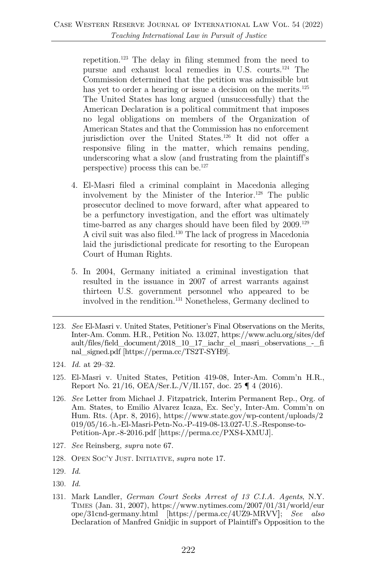repetition.123 The delay in filing stemmed from the need to pursue and exhaust local remedies in U.S. courts.124 The Commission determined that the petition was admissible but has yet to order a hearing or issue a decision on the merits.<sup>125</sup> The United States has long argued (unsuccessfully) that the American Declaration is a political commitment that imposes no legal obligations on members of the Organization of American States and that the Commission has no enforcement jurisdiction over the United States.<sup>126</sup> It did not offer a responsive filing in the matter, which remains pending, underscoring what a slow (and frustrating from the plaintiff's perspective) process this can be. $127$ 

- 4. El-Masri filed a criminal complaint in Macedonia alleging involvement by the Minister of the Interior.<sup>128</sup> The public prosecutor declined to move forward, after what appeared to be a perfunctory investigation, and the effort was ultimately time-barred as any charges should have been filed by  $2009$ .<sup>129</sup> A civil suit was also filed.130 The lack of progress in Macedonia laid the jurisdictional predicate for resorting to the European Court of Human Rights.
- 5. In 2004, Germany initiated a criminal investigation that resulted in the issuance in 2007 of arrest warrants against thirteen U.S. government personnel who appeared to be involved in the rendition.131 Nonetheless, Germany declined to
- 123. *See* El-Masri v. United States, Petitioner's Final Observations on the Merits, Inter-Am. Comm. H.R., Petition No. 13.027, https://www.aclu.org/sites/def ault/files/field\_document/2018\_10\_17\_iachr\_el\_masri\_observations\_-\_fi nal\_signed.pdf [https://perma.cc/TS2T-SYH9].
- 124. *Id.* at 29–32.
- 125. El-Masri v. United States, Petition 419-08, Inter-Am. Comm'n H.R., Report No. 21/16, OEA/Ser.L./V/II.157, doc. 25 ¶ 4 (2016).
- 126. *See* Letter from Michael J. Fitzpatrick, Interim Permanent Rep., Org. of Am. States, to Emilio Alvarez Icaza, Ex. Sec'y, Inter-Am. Comm'n on Hum. Rts. (Apr. 8, 2016), https://www.state.gov/wp-content/uploads/2 019/05/16.-h.-El-Masri-Petn-No.-P-419-08-13.027-U.S.-Response-to-Petition-Apr.-8-2016.pdf [https://perma.cc/PXS4-XMUJ].
- 127. *See* Reinsberg, *supra* note 67.
- 128. OPEN SOC'Y JUST. INITIATIVE, *supra* note 17.
- 129. *Id.*
- 130. *Id.*
- 131. Mark Landler, *German Court Seeks Arrest of 13 C.I.A. Agents*, N.Y. TIMES (Jan. 31, 2007), https://www.nytimes.com/2007/01/31/world/eur ope/31cnd-germany.html [https://perma.cc/4UZ9-MRVV**]**; *See also* Declaration of Manfred Gnidjic in support of Plaintiff's Opposition to the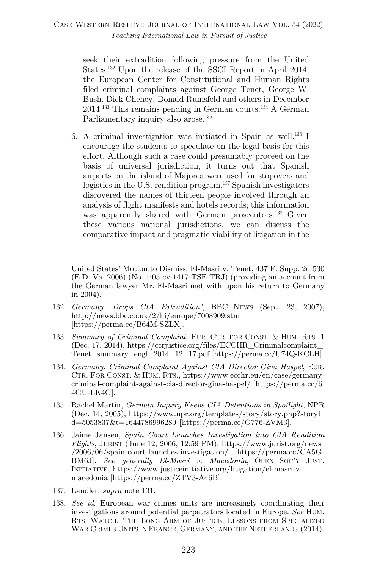seek their extradition following pressure from the United States.132 Upon the release of the SSCI Report in April 2014, the European Center for Constitutional and Human Rights filed criminal complaints against George Tenet, George W. Bush, Dick Cheney, Donald Rumsfeld and others in December 2014.133 This remains pending in German courts.134 A German Parliamentary inquiry also arose.<sup>135</sup>

6. A criminal investigation was initiated in Spain as well.<sup>136</sup> I encourage the students to speculate on the legal basis for this effort. Although such a case could presumably proceed on the basis of universal jurisdiction, it turns out that Spanish airports on the island of Majorca were used for stopovers and logistics in the U.S. rendition program.<sup>137</sup> Spanish investigators discovered the names of thirteen people involved through an analysis of flight manifests and hotels records; this information was apparently shared with German prosecutors.<sup>138</sup> Given these various national jurisdictions, we can discuss the comparative impact and pragmatic viability of litigation in the

United States' Motion to Dismiss, El-Masri v. Tenet, 437 F. Supp. 2d 530 (E.D. Va. 2006) (No. 1:05-cv-1417-TSE-TRJ) (providing an account from the German lawyer Mr. El-Masri met with upon his return to Germany in 2004).

- 132. *Germany 'Drops CIA Extradition'*, BBC NEWS (Sept. 23, 2007), http://news.bbc.co.uk/2/hi/europe/7008909.stm [https://perma.cc/B64M-SZLX].
- 133. *Summary of Criminal Complaint*, EUR. CTR. FOR CONST. & HUM. RTS. 1 (Dec. 17, 2014), https://ccrjustice.org/files/ECCHR\_Criminalcomplaint\_ Tenet\_summary\_engl\_2014\_12\_17.pdf [https://perma.cc/U74Q-KCLH].
- 134. *Germany: Criminal Complaint Against CIA Director Gina Haspel*, EUR. CTR. FOR CONST. & HUM. RTS., https://www.ecchr.eu/en/case/germanycriminal-complaint-against-cia-director-gina-haspel/ [https://perma.cc/6 4GU-LK4G].
- 135. Rachel Martin, *German Inquiry Keeps CIA Detentions in Spotlight*, NPR (Dec. 14, 2005), https://www.npr.org/templates/story/story.php?storyI d=5053837&t=1644786996289 **[**https://perma.cc/G776-ZVM3].
- 136. Jaime Jansen, *Spain Court Launches Investigation into CIA Rendition Flights*, JURIST (June 12, 2006, 12:59 PM), https://www.jurist.org/news /2006/06/spain-court-launches-investigation/ [https://perma.cc/CA5G-BM6J]. *See generally El-Masri v. Macedonia*, OPEN SOC'Y JUST. INITIATIVE, https://www.justiceinitiative.org/litigation/el-masri-vmacedonia [https://perma.cc/ZTV3-A46B].
- 137. Landler, *supra* note 131.
- 138. *See id.* European war crimes units are increasingly coordinating their investigations around potential perpetrators located in Europe. *See* HUM. RTS. WATCH, THE LONG ARM OF JUSTICE: LESSONS FROM SPECIALIZED WAR CRIMES UNITS IN FRANCE, GERMANY, AND THE NETHERLANDS (2014).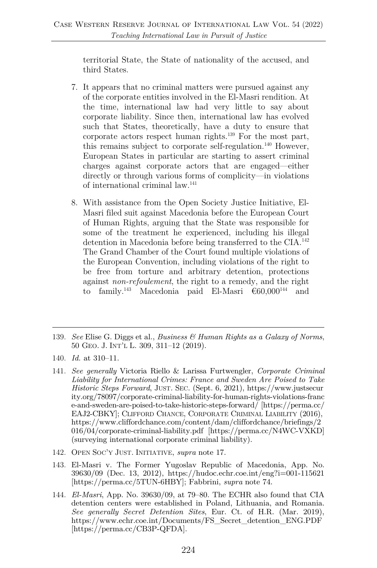territorial State, the State of nationality of the accused, and third States.

- 7. It appears that no criminal matters were pursued against any of the corporate entities involved in the El-Masri rendition. At the time, international law had very little to say about corporate liability. Since then, international law has evolved such that States, theoretically, have a duty to ensure that corporate actors respect human rights.139 For the most part, this remains subject to corporate self-regulation.140 However, European States in particular are starting to assert criminal charges against corporate actors that are engaged—either directly or through various forms of complicity—in violations of international criminal law.141
- 8. With assistance from the Open Society Justice Initiative, El-Masri filed suit against Macedonia before the European Court of Human Rights, arguing that the State was responsible for some of the treatment he experienced, including his illegal detention in Macedonia before being transferred to the CIA.142 The Grand Chamber of the Court found multiple violations of the European Convention, including violations of the right to be free from torture and arbitrary detention, protections against *non-refoulement*, the right to a remedy, and the right to family.<sup>143</sup> Macedonia paid El-Masri  $€60,000^{144}$  and

- 142. OPEN SOC'Y JUST. INITIATIVE, *supra* note 17.
- 143. El-Masri v. The Former Yugoslav Republic of Macedonia, App. No. 39630/09 (Dec. 13, 2012), https://hudoc.echr.coe.int/eng?i=001-115621 [https://perma.cc/5TUN-6HBY]; Fabbrini, *supra* note 74.
- 144. *El-Masri*, App. No. 39630/09, at 79–80. The ECHR also found that CIA detention centers were established in Poland, Lithuania, and Romania. *See generally Secret Detention Sites*, Eur. Ct. of H.R. (Mar. 2019), https://www.echr.coe.int/Documents/FS\_Secret\_detention\_ENG.PDF [https://perma.cc/CB3P-QFDA].

<sup>139.</sup> *See* Elise G. Diggs et al., *Business & Human Rights as a Galaxy of Norms*, 50 GEO. J. INT'L L. 309, 311–12 (2019).

<sup>140.</sup> *Id.* at 310–11.

<sup>141.</sup> *See generally* Victoria Riello & Larissa Furtwengler, *Corporate Criminal Liability for International Crimes: France and Sweden Are Poised to Take Historic Steps Forward*, JUST. SEC. (Sept. 6, 2021), https://www.justsecur ity.org/78097/corporate-criminal-liability-for-human-rights-violations-franc e-and-sweden-are-poised-to-take-historic-steps-forward/ [https://perma.cc/ EAJ2-CBKY]; CLIFFORD CHANCE, CORPORATE CRIMINAL LIABILITY (2016), https://www.cliffordchance.com/content/dam/cliffordchance/briefings/2 016/04/corporate-criminal-liability.pdf [https://perma.cc/N4WC-VXKD] (surveying international corporate criminal liability).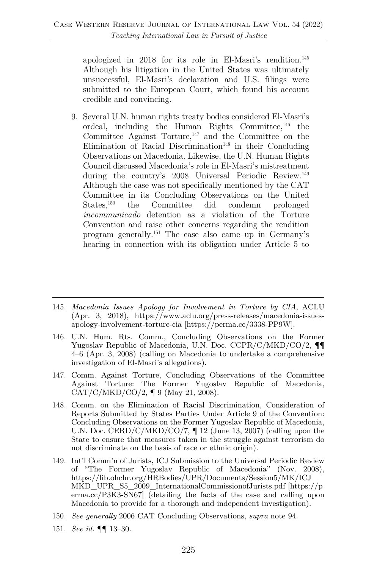apologized in 2018 for its role in El-Masri's rendition.145 Although his litigation in the United States was ultimately unsuccessful, El-Masri's declaration and U.S. filings were submitted to the European Court, which found his account credible and convincing.

9. Several U.N. human rights treaty bodies considered El-Masri's ordeal, including the Human Rights Committee, $146$  the Committee Against Torture,<sup>147</sup> and the Committee on the Elimination of Racial Discrimination<sup>148</sup> in their Concluding Observations on Macedonia. Likewise, the U.N. Human Rights Council discussed Macedonia's role in El-Masri's mistreatment during the country's 2008 Universal Periodic Review.<sup>149</sup> Although the case was not specifically mentioned by the CAT Committee in its Concluding Observations on the United States,150 the Committee did condemn prolonged *incommunicado* detention as a violation of the Torture Convention and raise other concerns regarding the rendition program generally.151 The case also came up in Germany's hearing in connection with its obligation under Article 5 to

- 146. U.N. Hum. Rts. Comm., Concluding Observations on the Former Yugoslav Republic of Macedonia, U.N. Doc. CCPR/C/MKD/CO/2,  $\P\P$ 4–6 (Apr. 3, 2008) (calling on Macedonia to undertake a comprehensive investigation of El-Masri's allegations).
- 147. Comm. Against Torture, Concluding Observations of the Committee Against Torture: The Former Yugoslav Republic of Macedonia, CAT/C/MKD/CO/2,  $\P$  9 (May 21, 2008).
- 148. Comm. on the Elimination of Racial Discrimination, Consideration of Reports Submitted by States Parties Under Article 9 of the Convention: Concluding Observations on the Former Yugoslav Republic of Macedonia, U.N. Doc. CERD/C/MKD/CO/7, ¶ 12 (June 13, 2007) (calling upon the State to ensure that measures taken in the struggle against terrorism do not discriminate on the basis of race or ethnic origin).
- 149. Int'l Comm'n of Jurists, ICJ Submission to the Universal Periodic Review of "The Former Yugoslav Republic of Macedonia" (Nov. 2008), https://lib.ohchr.org/HRBodies/UPR/Documents/Session5/MK/ICJ\_ MKD\_UPR\_S5\_2009\_InternationalCommissionofJurists.pdf [https://p erma.cc/P3K3-SN67] (detailing the facts of the case and calling upon Macedonia to provide for a thorough and independent investigation).
- 150. *See generally* 2006 CAT Concluding Observations, *supra* note 94.
- 151. *See id.* ¶¶ 13–30.

<sup>145.</sup> *Macedonia Issues Apology for Involvement in Torture by CIA*, ACLU (Apr. 3, 2018), https://www.aclu.org/press-releases/macedonia-issuesapology-involvement-torture-cia [https://perma.cc/3338-PP9W].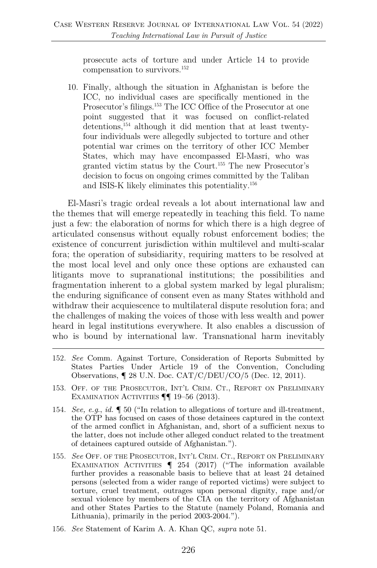prosecute acts of torture and under Article 14 to provide compensation to survivors.152

10. Finally, although the situation in Afghanistan is before the ICC, no individual cases are specifically mentioned in the Prosecutor's filings.<sup>153</sup> The ICC Office of the Prosecutor at one point suggested that it was focused on conflict-related detentions,154 although it did mention that at least twentyfour individuals were allegedly subjected to torture and other potential war crimes on the territory of other ICC Member States, which may have encompassed El-Masri, who was granted victim status by the Court.155 The new Prosecutor's decision to focus on ongoing crimes committed by the Taliban and ISIS-K likely eliminates this potentiality.156

El-Masri's tragic ordeal reveals a lot about international law and the themes that will emerge repeatedly in teaching this field. To name just a few: the elaboration of norms for which there is a high degree of articulated consensus without equally robust enforcement bodies; the existence of concurrent jurisdiction within multilevel and multi-scalar fora; the operation of subsidiarity, requiring matters to be resolved at the most local level and only once these options are exhausted can litigants move to supranational institutions; the possibilities and fragmentation inherent to a global system marked by legal pluralism; the enduring significance of consent even as many States withhold and withdraw their acquiescence to multilateral dispute resolution fora; and the challenges of making the voices of those with less wealth and power heard in legal institutions everywhere. It also enables a discussion of who is bound by international law. Transnational harm inevitably

- 152. *See* Comm. Against Torture, Consideration of Reports Submitted by States Parties Under Article 19 of the Convention, Concluding Observations, ¶ 28 U.N. Doc. CAT/C/DEU/CO/5 (Dec. 12, 2011).
- 153. OFF. OF THE PROSECUTOR, INT'L CRIM. CT., REPORT ON PRELIMINARY EXAMINATION ACTIVITIES  $\P\P$  19-56 (2013).
- 154. *See, e.g*., *id.* ¶ 50 ("In relation to allegations of torture and ill-treatment, the OTP has focused on cases of those detainees captured in the context of the armed conflict in Afghanistan, and, short of a sufficient nexus to the latter, does not include other alleged conduct related to the treatment of detainees captured outside of Afghanistan.").
- 155. *See* OFF. OF THE PROSECUTOR, INT'L CRIM. CT., REPORT ON PRELIMINARY EXAMINATION ACTIVITIES  $\parallel$  254 (2017) ("The information available further provides a reasonable basis to believe that at least 24 detained persons (selected from a wider range of reported victims) were subject to torture, cruel treatment, outrages upon personal dignity, rape and/or sexual violence by members of the CIA on the territory of Afghanistan and other States Parties to the Statute (namely Poland, Romania and Lithuania), primarily in the period 2003-2004.").
- 156. *See* Statement of Karim A. A. Khan QC, *supra* note 51.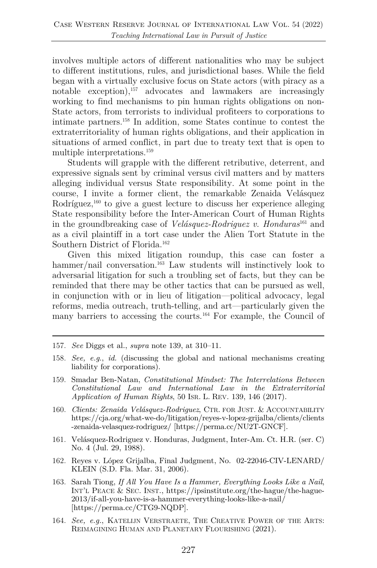involves multiple actors of different nationalities who may be subject to different institutions, rules, and jurisdictional bases. While the field began with a virtually exclusive focus on State actors (with piracy as a notable exception),157 advocates and lawmakers are increasingly working to find mechanisms to pin human rights obligations on non-State actors, from terrorists to individual profiteers to corporations to intimate partners. <sup>158</sup> In addition, some States continue to contest the extraterritoriality of human rights obligations, and their application in situations of armed conflict, in part due to treaty text that is open to multiple interpretations.159

Students will grapple with the different retributive, deterrent, and expressive signals sent by criminal versus civil matters and by matters alleging individual versus State responsibility. At some point in the course, I invite a former client, the remarkable Zenaida Velásquez Rodríguez,<sup>160</sup> to give a guest lecture to discuss her experience alleging State responsibility before the Inter-American Court of Human Rights in the groundbreaking case of *Velásquez-Rodriguez v. Honduras*<sup>161</sup> and as a civil plaintiff in a tort case under the Alien Tort Statute in the Southern District of Florida.<sup>162</sup>

Given this mixed litigation roundup, this case can foster a hammer/nail conversation.<sup>163</sup> Law students will instinctively look to adversarial litigation for such a troubling set of facts, but they can be reminded that there may be other tactics that can be pursued as well, in conjunction with or in lieu of litigation—political advocacy, legal reforms, media outreach, truth-telling, and art—particularly given the many barriers to accessing the courts.<sup>164</sup> For example, the Council of

- 157. *See* Diggs et al., *supra* note 139, at 310–11.
- 158. *See, e.g*., *id.* (discussing the global and national mechanisms creating liability for corporations).
- 159. Smadar Ben-Natan, *Constitutional Mindset: The Interrelations Between Constitutional Law and International Law in the Extraterritorial Application of Human Rights*, 50 ISR. L. REV. 139, 146 (2017).
- 160. *Clients: Zenaida Velásquez-Rodriguez*, CTR. FOR JUST. & ACCOUNTABILITY https://cja.org/what-we-do/litigation/reyes-v-lopez-grijalba/clients/clients -zenaida-velasquez-rodriguez/ [https://perma.cc/NU2T-GNCF].
- 161. Velásquez-Rodriguez v. Honduras, Judgment, Inter-Am. Ct. H.R. (ser. C) No. 4 (Jul. 29, 1988).
- 162. Reyes v. López Grijalba, Final Judgment, No. 02-22046-CIV-LENARD/ KLEIN (S.D. Fla. Mar. 31, 2006).
- 163. Sarah Tiong, *If All You Have Is a Hammer, Everything Looks Like a Nail*, INT'L PEACE & SEC. INST., https://ipsinstitute.org/the-hague/the-hague-2013/if-all-you-have-is-a-hammer-everything-looks-like-a-nail/ [https://perma.cc/CTG9-NQDP].
- 164. *See, e.g.*, KATELIJN VERSTRAETE, THE CREATIVE POWER OF THE ARTS: REIMAGINING HUMAN AND PLANETARY FLOURISHING (2021).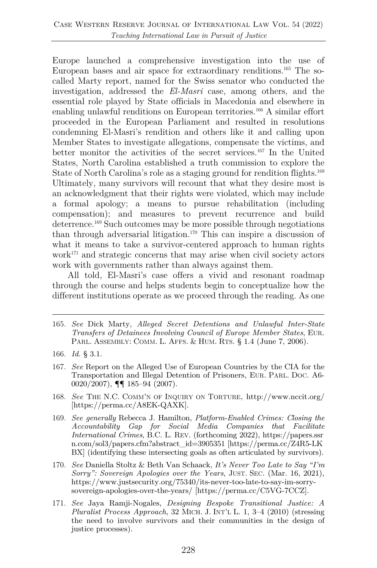Europe launched a comprehensive investigation into the use of European bases and air space for extraordinary renditions.165 The socalled Marty report, named for the Swiss senator who conducted the investigation, addressed the *El-Masri* case, among others, and the essential role played by State officials in Macedonia and elsewhere in enabling unlawful renditions on European territories.166 A similar effort proceeded in the European Parliament and resulted in resolutions condemning El-Masri's rendition and others like it and calling upon Member States to investigate allegations, compensate the victims, and better monitor the activities of the secret services.167 In the United States, North Carolina established a truth commission to explore the State of North Carolina's role as a staging ground for rendition flights.<sup>168</sup> Ultimately, many survivors will recount that what they desire most is an acknowledgment that their rights were violated, which may include a formal apology; a means to pursue rehabilitation (including compensation); and measures to prevent recurrence and build deterrence.169 Such outcomes may be more possible through negotiations than through adversarial litigation.170 This can inspire a discussion of what it means to take a survivor-centered approach to human rights  $work<sup>171</sup>$  and strategic concerns that may arise when civil society actors work with governments rather than always against them.

All told, El-Masri's case offers a vivid and resonant roadmap through the course and helps students begin to conceptualize how the different institutions operate as we proceed through the reading. As one

- 165. *See* Dick Marty, *Alleged Secret Detentions and Unlawful Inter-State Transfers of Detainees Involving Council of Europe Member States*, EUR. PARL. ASSEMBLY: COMM. L. AFFS. & HUM. RTS. § 1.4 (June 7, 2006).
- 166. *Id.* § 3.1.
- 167. *See* Report on the Alleged Use of European Countries by the CIA for the Transportation and Illegal Detention of Prisoners, EUR. PARL. DOC. A6- 0020/2007), ¶¶ 185–94 (2007).
- 168. *See* THE N.C. COMM'N OF INQUIRY ON TORTURE, http://www.nccit.org/ [https://perma.cc/A8EK-QAXK].
- 169. *See generally* Rebecca J. Hamilton, *Platform-Enabled Crimes: Closing the Accountability Gap for Social Media Companies that Facilitate International Crimes*, B.C. L. REV. (forthcoming 2022), https://papers.ssr n.com/sol3/papers.cfm?abstract\_id=3905351 [https://perma.cc/Z4R5-LK BX] (identifying these intersecting goals as often articulated by survivors).
- 170. *See* Daniella Stoltz & Beth Van Schaack, *It's Never Too Late to Say "I'm Sorry": Sovereign Apologies over the Years*, JUST. SEC. (Mar. 16, 2021), https://www.justsecurity.org/75340/its-never-too-late-to-say-im-sorrysovereign-apologies-over-the-years/ [https://perma.cc/C5VG-7CCZ].
- 171. *See* Jaya Ramji-Nogales, *Designing Bespoke Transitional Justice: A Pluralist Process Approach*, 32 MICH. J. INT'L L. 1, 3–4 (2010) (stressing the need to involve survivors and their communities in the design of justice processes).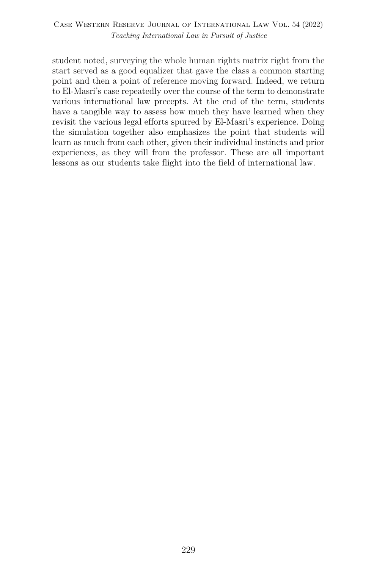student noted, surveying the whole human rights matrix right from the start served as a good equalizer that gave the class a common starting point and then a point of reference moving forward. Indeed, we return to El-Masri's case repeatedly over the course of the term to demonstrate various international law precepts. At the end of the term, students have a tangible way to assess how much they have learned when they revisit the various legal efforts spurred by El-Masri's experience. Doing the simulation together also emphasizes the point that students will learn as much from each other, given their individual instincts and prior experiences, as they will from the professor. These are all important lessons as our students take flight into the field of international law.